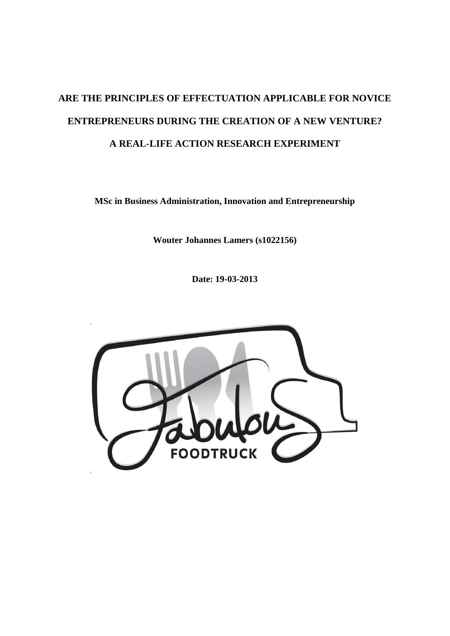# **ARE THE PRINCIPLES OF EFFECTUATION APPLICABLE FOR NOVICE ENTREPRENEURS DURING THE CREATION OF A NEW VENTURE? A REAL-LIFE ACTION RESEARCH EXPERIMENT**

**MSc in Business Administration, Innovation and Entrepreneurship**

**Wouter Johannes Lamers (s1022156)**

**Date: 19-03-2013**

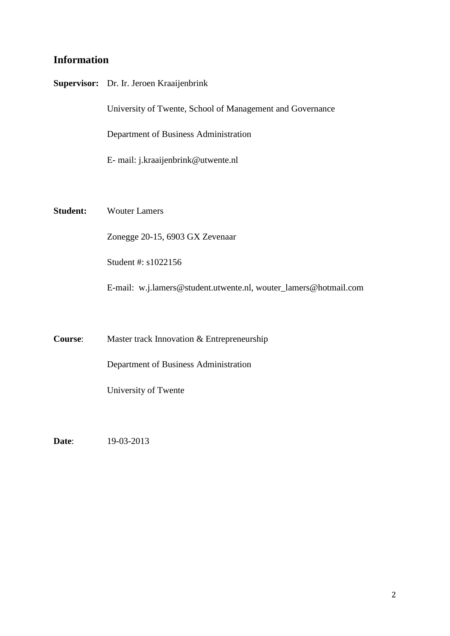# **Information**

|                 | Supervisor: Dr. Ir. Jeroen Kraaijenbrink                         |
|-----------------|------------------------------------------------------------------|
|                 | University of Twente, School of Management and Governance        |
|                 | Department of Business Administration                            |
|                 | E- mail: j.kraaijenbrink@utwente.nl                              |
|                 |                                                                  |
| <b>Student:</b> | <b>Wouter Lamers</b>                                             |
|                 | Zonegge 20-15, 6903 GX Zevenaar                                  |
|                 | Student #: s1022156                                              |
|                 | E-mail: w.j.lamers@student.utwente.nl, wouter_lamers@hotmail.com |
|                 |                                                                  |
| Course:         | Master track Innovation & Entrepreneurship                       |
|                 | Department of Business Administration                            |
|                 | University of Twente                                             |

**Date**: 19-03-2013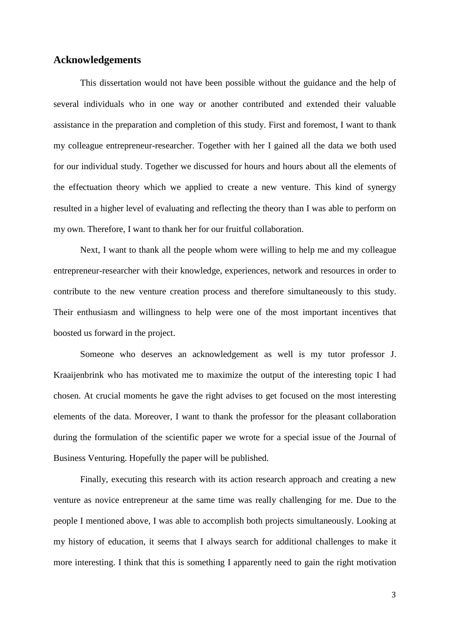### **Acknowledgements**

This dissertation would not have been possible without the guidance and the help of several individuals who in one way or another contributed and extended their valuable assistance in the preparation and completion of this study. First and foremost, I want to thank my colleague entrepreneur-researcher. Together with her I gained all the data we both used for our individual study. Together we discussed for hours and hours about all the elements of the effectuation theory which we applied to create a new venture. This kind of synergy resulted in a higher level of evaluating and reflecting the theory than I was able to perform on my own. Therefore, I want to thank her for our fruitful collaboration.

Next, I want to thank all the people whom were willing to help me and my colleague entrepreneur-researcher with their knowledge, experiences, network and resources in order to contribute to the new venture creation process and therefore simultaneously to this study. Their enthusiasm and willingness to help were one of the most important incentives that boosted us forward in the project.

Someone who deserves an acknowledgement as well is my tutor professor J. Kraaijenbrink who has motivated me to maximize the output of the interesting topic I had chosen. At crucial moments he gave the right advises to get focused on the most interesting elements of the data. Moreover, I want to thank the professor for the pleasant collaboration during the formulation of the scientific paper we wrote for a special issue of the Journal of Business Venturing. Hopefully the paper will be published.

Finally, executing this research with its action research approach and creating a new venture as novice entrepreneur at the same time was really challenging for me. Due to the people I mentioned above, I was able to accomplish both projects simultaneously. Looking at my history of education, it seems that I always search for additional challenges to make it more interesting. I think that this is something I apparently need to gain the right motivation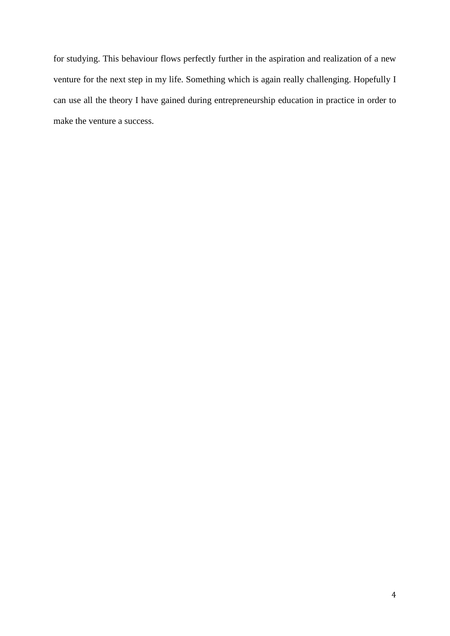for studying. This behaviour flows perfectly further in the aspiration and realization of a new venture for the next step in my life. Something which is again really challenging. Hopefully I can use all the theory I have gained during entrepreneurship education in practice in order to make the venture a success.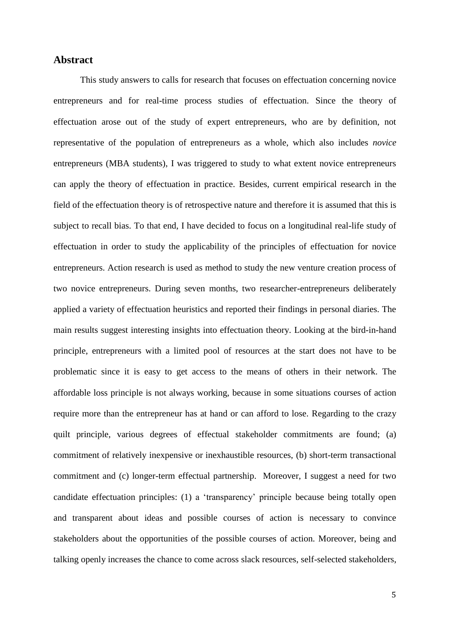# **Abstract**

This study answers to calls for research that focuses on effectuation concerning novice entrepreneurs and for real-time process studies of effectuation. Since the theory of effectuation arose out of the study of expert entrepreneurs, who are by definition, not representative of the population of entrepreneurs as a whole, which also includes *novice* entrepreneurs (MBA students), I was triggered to study to what extent novice entrepreneurs can apply the theory of effectuation in practice. Besides, current empirical research in the field of the effectuation theory is of retrospective nature and therefore it is assumed that this is subject to recall bias. To that end, I have decided to focus on a longitudinal real-life study of effectuation in order to study the applicability of the principles of effectuation for novice entrepreneurs. Action research is used as method to study the new venture creation process of two novice entrepreneurs. During seven months, two researcher-entrepreneurs deliberately applied a variety of effectuation heuristics and reported their findings in personal diaries. The main results suggest interesting insights into effectuation theory. Looking at the bird-in-hand principle, entrepreneurs with a limited pool of resources at the start does not have to be problematic since it is easy to get access to the means of others in their network. The affordable loss principle is not always working, because in some situations courses of action require more than the entrepreneur has at hand or can afford to lose. Regarding to the crazy quilt principle, various degrees of effectual stakeholder commitments are found; (a) commitment of relatively inexpensive or inexhaustible resources, (b) short-term transactional commitment and (c) longer-term effectual partnership. Moreover, I suggest a need for two candidate effectuation principles: (1) a 'transparency' principle because being totally open and transparent about ideas and possible courses of action is necessary to convince stakeholders about the opportunities of the possible courses of action. Moreover, being and talking openly increases the chance to come across slack resources, self-selected stakeholders,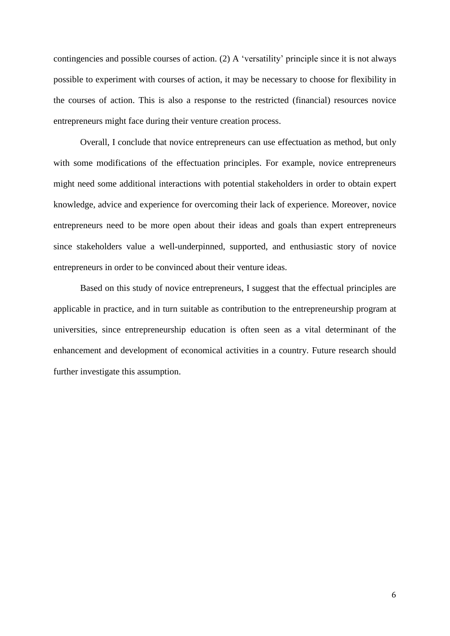contingencies and possible courses of action. (2) A 'versatility' principle since it is not always possible to experiment with courses of action, it may be necessary to choose for flexibility in the courses of action. This is also a response to the restricted (financial) resources novice entrepreneurs might face during their venture creation process.

Overall, I conclude that novice entrepreneurs can use effectuation as method, but only with some modifications of the effectuation principles. For example, novice entrepreneurs might need some additional interactions with potential stakeholders in order to obtain expert knowledge, advice and experience for overcoming their lack of experience. Moreover, novice entrepreneurs need to be more open about their ideas and goals than expert entrepreneurs since stakeholders value a well-underpinned, supported, and enthusiastic story of novice entrepreneurs in order to be convinced about their venture ideas.

Based on this study of novice entrepreneurs, I suggest that the effectual principles are applicable in practice, and in turn suitable as contribution to the entrepreneurship program at universities, since entrepreneurship education is often seen as a vital determinant of the enhancement and development of economical activities in a country. Future research should further investigate this assumption.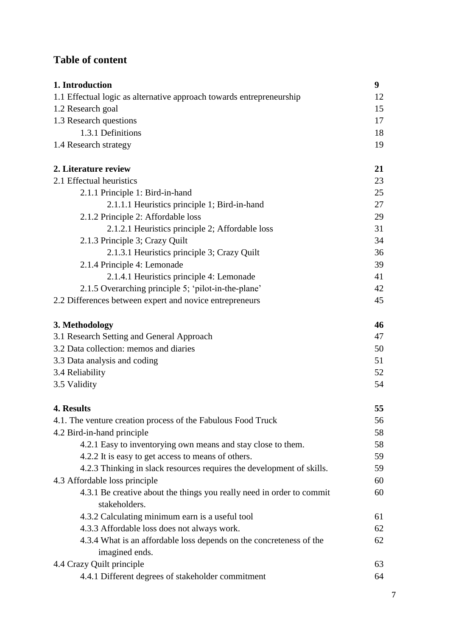# **Table of content**

| 1. Introduction                                                                        | 9  |
|----------------------------------------------------------------------------------------|----|
| 1.1 Effectual logic as alternative approach towards entrepreneurship                   | 12 |
| 1.2 Research goal                                                                      | 15 |
| 1.3 Research questions                                                                 | 17 |
| 1.3.1 Definitions                                                                      | 18 |
| 1.4 Research strategy                                                                  | 19 |
| 2. Literature review                                                                   | 21 |
| 2.1 Effectual heuristics                                                               | 23 |
| 2.1.1 Principle 1: Bird-in-hand                                                        | 25 |
| 2.1.1.1 Heuristics principle 1; Bird-in-hand                                           | 27 |
| 2.1.2 Principle 2: Affordable loss                                                     | 29 |
| 2.1.2.1 Heuristics principle 2; Affordable loss                                        | 31 |
| 2.1.3 Principle 3; Crazy Quilt                                                         | 34 |
| 2.1.3.1 Heuristics principle 3; Crazy Quilt                                            | 36 |
| 2.1.4 Principle 4: Lemonade                                                            | 39 |
| 2.1.4.1 Heuristics principle 4: Lemonade                                               | 41 |
| 2.1.5 Overarching principle 5; 'pilot-in-the-plane'                                    | 42 |
| 2.2 Differences between expert and novice entrepreneurs                                | 45 |
| 3. Methodology                                                                         | 46 |
| 3.1 Research Setting and General Approach                                              | 47 |
| 3.2 Data collection: memos and diaries                                                 | 50 |
| 3.3 Data analysis and coding                                                           | 51 |
| 3.4 Reliability                                                                        | 52 |
| 3.5 Validity                                                                           | 54 |
| 4. Results                                                                             | 55 |
| 4.1. The venture creation process of the Fabulous Food Truck                           | 56 |
| 4.2 Bird-in-hand principle                                                             | 58 |
| 4.2.1 Easy to inventorying own means and stay close to them.                           | 58 |
| 4.2.2 It is easy to get access to means of others.                                     | 59 |
| 4.2.3 Thinking in slack resources requires the development of skills.                  | 59 |
| 4.3 Affordable loss principle                                                          | 60 |
| 4.3.1 Be creative about the things you really need in order to commit<br>stakeholders. | 60 |
| 4.3.2 Calculating minimum earn is a useful tool                                        | 61 |
| 4.3.3 Affordable loss does not always work.                                            | 62 |
| 4.3.4 What is an affordable loss depends on the concreteness of the                    | 62 |
| imagined ends.                                                                         |    |
| 4.4 Crazy Quilt principle                                                              | 63 |
| 4.4.1 Different degrees of stakeholder commitment                                      | 64 |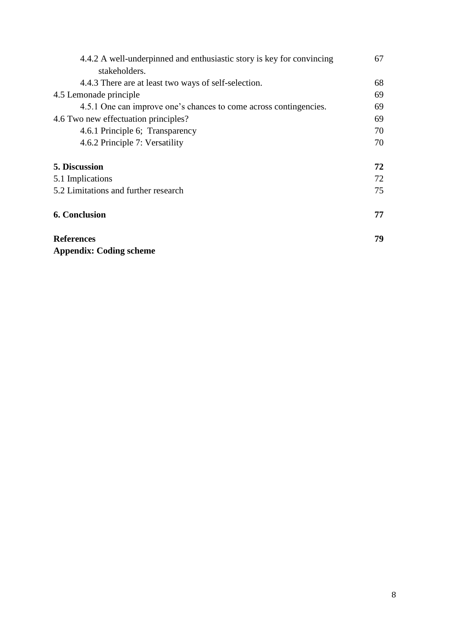| 4.4.2 A well-underpinned and enthusiastic story is key for convincing | 67 |
|-----------------------------------------------------------------------|----|
| stakeholders.                                                         |    |
| 4.4.3 There are at least two ways of self-selection.                  | 68 |
| 4.5 Lemonade principle                                                | 69 |
| 4.5.1 One can improve one's chances to come across contingencies.     | 69 |
| 4.6 Two new effectuation principles?                                  | 69 |
| 4.6.1 Principle 6; Transparency                                       | 70 |
| 4.6.2 Principle 7: Versatility                                        | 70 |
| <b>5. Discussion</b>                                                  | 72 |
| 5.1 Implications                                                      | 72 |
| 5.2 Limitations and further research                                  | 75 |
| <b>6. Conclusion</b>                                                  | 77 |
| <b>References</b>                                                     | 79 |
| <b>Appendix: Coding scheme</b>                                        |    |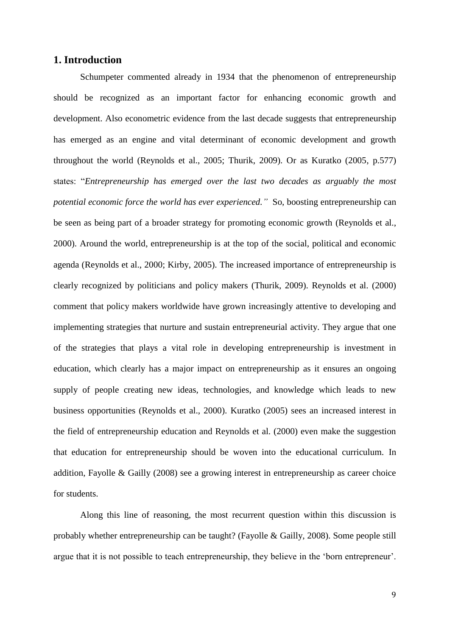# **1. Introduction**

Schumpeter commented already in 1934 that the phenomenon of entrepreneurship should be recognized as an important factor for enhancing economic growth and development. Also econometric evidence from the last decade suggests that entrepreneurship has emerged as an engine and vital determinant of economic development and growth throughout the world (Reynolds et al., 2005; Thurik, 2009). Or as Kuratko (2005, p.577) states: "*Entrepreneurship has emerged over the last two decades as arguably the most potential economic force the world has ever experienced."* So, boosting entrepreneurship can be seen as being part of a broader strategy for promoting economic growth (Reynolds et al., 2000). Around the world, entrepreneurship is at the top of the social, political and economic agenda (Reynolds et al., 2000; Kirby, 2005). The increased importance of entrepreneurship is clearly recognized by politicians and policy makers (Thurik, 2009). Reynolds et al. (2000) comment that policy makers worldwide have grown increasingly attentive to developing and implementing strategies that nurture and sustain entrepreneurial activity. They argue that one of the strategies that plays a vital role in developing entrepreneurship is investment in education, which clearly has a major impact on entrepreneurship as it ensures an ongoing supply of people creating new ideas, technologies, and knowledge which leads to new business opportunities (Reynolds et al., 2000). Kuratko (2005) sees an increased interest in the field of entrepreneurship education and Reynolds et al. (2000) even make the suggestion that education for entrepreneurship should be woven into the educational curriculum. In addition, Fayolle & Gailly (2008) see a growing interest in entrepreneurship as career choice for students.

Along this line of reasoning, the most recurrent question within this discussion is probably whether entrepreneurship can be taught? (Fayolle & Gailly, 2008). Some people still argue that it is not possible to teach entrepreneurship, they believe in the 'born entrepreneur'.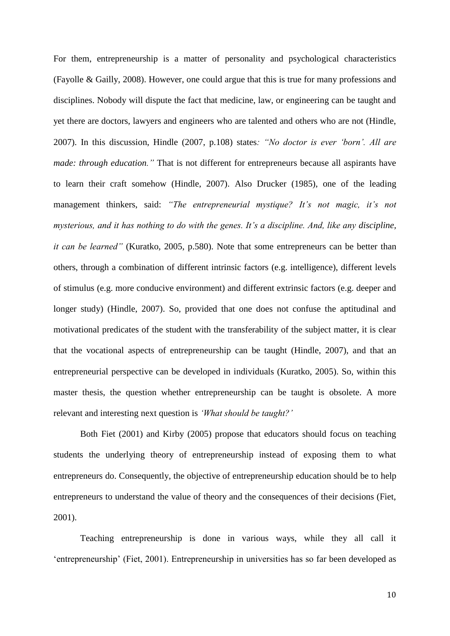For them, entrepreneurship is a matter of personality and psychological characteristics (Fayolle & Gailly, 2008). However, one could argue that this is true for many professions and disciplines. Nobody will dispute the fact that medicine, law, or engineering can be taught and yet there are doctors, lawyers and engineers who are talented and others who are not (Hindle, 2007). In this discussion, Hindle (2007, p.108) states*: "No doctor is ever 'born'. All are made: through education.*" That is not different for entrepreneurs because all aspirants have to learn their craft somehow (Hindle, 2007). Also Drucker (1985), one of the leading management thinkers, said: *"The entrepreneurial mystique? It's not magic, it's not mysterious, and it has nothing to do with the genes. It's a discipline. And, like any discipline, it can be learned"* (Kuratko, 2005, p.580). Note that some entrepreneurs can be better than others, through a combination of different intrinsic factors (e.g. intelligence), different levels of stimulus (e.g. more conducive environment) and different extrinsic factors (e.g. deeper and longer study) (Hindle, 2007). So, provided that one does not confuse the aptitudinal and motivational predicates of the student with the transferability of the subject matter, it is clear that the vocational aspects of entrepreneurship can be taught (Hindle, 2007), and that an entrepreneurial perspective can be developed in individuals (Kuratko, 2005). So, within this master thesis, the question whether entrepreneurship can be taught is obsolete. A more relevant and interesting next question is *'What should be taught?'*

Both Fiet (2001) and Kirby (2005) propose that educators should focus on teaching students the underlying theory of entrepreneurship instead of exposing them to what entrepreneurs do. Consequently, the objective of entrepreneurship education should be to help entrepreneurs to understand the value of theory and the consequences of their decisions (Fiet, 2001).

Teaching entrepreneurship is done in various ways, while they all call it 'entrepreneurship' (Fiet, 2001). Entrepreneurship in universities has so far been developed as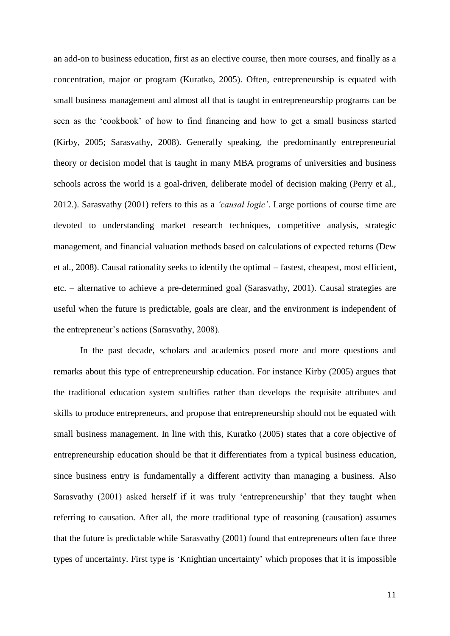an add-on to business education, first as an elective course, then more courses, and finally as a concentration, major or program (Kuratko, 2005). Often, entrepreneurship is equated with small business management and almost all that is taught in entrepreneurship programs can be seen as the 'cookbook' of how to find financing and how to get a small business started (Kirby, 2005; Sarasvathy, 2008). Generally speaking, the predominantly entrepreneurial theory or decision model that is taught in many MBA programs of universities and business schools across the world is a goal-driven, deliberate model of decision making (Perry et al., 2012.). Sarasvathy (2001) refers to this as a *'causal logic'*. Large portions of course time are devoted to understanding market research techniques, competitive analysis, strategic management, and financial valuation methods based on calculations of expected returns (Dew et al., 2008). Causal rationality seeks to identify the optimal – fastest, cheapest, most efficient, etc. – alternative to achieve a pre-determined goal (Sarasvathy, 2001). Causal strategies are useful when the future is predictable, goals are clear, and the environment is independent of the entrepreneur's actions (Sarasvathy, 2008).

In the past decade, scholars and academics posed more and more questions and remarks about this type of entrepreneurship education. For instance Kirby (2005) argues that the traditional education system stultifies rather than develops the requisite attributes and skills to produce entrepreneurs, and propose that entrepreneurship should not be equated with small business management. In line with this, Kuratko (2005) states that a core objective of entrepreneurship education should be that it differentiates from a typical business education, since business entry is fundamentally a different activity than managing a business. Also Sarasvathy (2001) asked herself if it was truly 'entrepreneurship' that they taught when referring to causation. After all, the more traditional type of reasoning (causation) assumes that the future is predictable while Sarasvathy (2001) found that entrepreneurs often face three types of uncertainty. First type is 'Knightian uncertainty' which proposes that it is impossible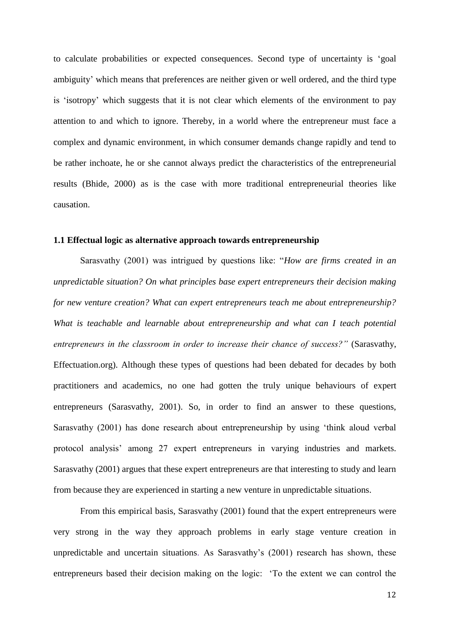to calculate probabilities or expected consequences. Second type of uncertainty is 'goal ambiguity' which means that preferences are neither given or well ordered, and the third type is 'isotropy' which suggests that it is not clear which elements of the environment to pay attention to and which to ignore. Thereby, in a world where the entrepreneur must face a complex and dynamic environment, in which consumer demands change rapidly and tend to be rather inchoate, he or she cannot always predict the characteristics of the entrepreneurial results (Bhide, 2000) as is the case with more traditional entrepreneurial theories like causation.

#### **1.1 Effectual logic as alternative approach towards entrepreneurship**

Sarasvathy (2001) was intrigued by questions like: "*How are firms created in an unpredictable situation? On what principles base expert entrepreneurs their decision making for new venture creation? What can expert entrepreneurs teach me about entrepreneurship? What is teachable and learnable about entrepreneurship and what can I teach potential entrepreneurs in the classroom in order to increase their chance of success?"* (Sarasvathy, Effectuation.org). Although these types of questions had been debated for decades by both practitioners and academics, no one had gotten the truly unique behaviours of expert entrepreneurs (Sarasvathy, 2001). So, in order to find an answer to these questions, Sarasvathy (2001) has done research about entrepreneurship by using 'think aloud verbal protocol analysis' among 27 expert entrepreneurs in varying industries and markets. Sarasvathy (2001) argues that these expert entrepreneurs are that interesting to study and learn from because they are experienced in starting a new venture in unpredictable situations.

From this empirical basis, Sarasvathy (2001) found that the expert entrepreneurs were very strong in the way they approach problems in early stage venture creation in unpredictable and uncertain situations. As Sarasvathy's (2001) research has shown, these entrepreneurs based their decision making on the logic: 'To the extent we can control the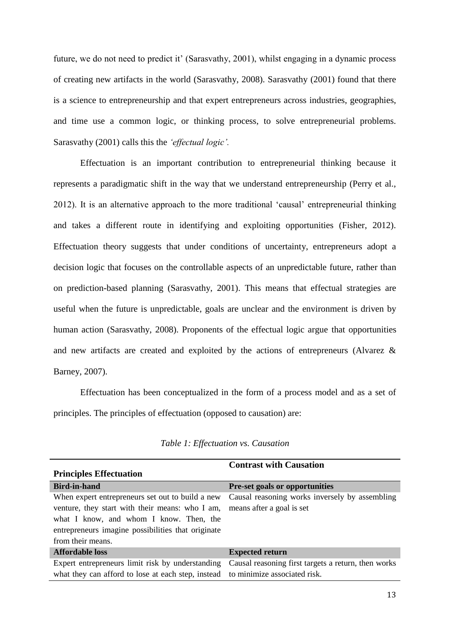future, we do not need to predict it' (Sarasvathy, 2001), whilst engaging in a dynamic process of creating new artifacts in the world (Sarasvathy, 2008). Sarasvathy (2001) found that there is a science to entrepreneurship and that expert entrepreneurs across industries, geographies, and time use a common logic, or thinking process, to solve entrepreneurial problems. Sarasvathy (2001) calls this the *'effectual logic'.* 

Effectuation is an important contribution to entrepreneurial thinking because it represents a paradigmatic shift in the way that we understand entrepreneurship (Perry et al., 2012). It is an alternative approach to the more traditional 'causal' entrepreneurial thinking and takes a different route in identifying and exploiting opportunities (Fisher, 2012). Effectuation theory suggests that under conditions of uncertainty, entrepreneurs adopt a decision logic that focuses on the controllable aspects of an unpredictable future, rather than on prediction-based planning (Sarasvathy, 2001). This means that effectual strategies are useful when the future is unpredictable, goals are unclear and the environment is driven by human action (Sarasvathy, 2008). Proponents of the effectual logic argue that opportunities and new artifacts are created and exploited by the actions of entrepreneurs (Alvarez & Barney, 2007).

Effectuation has been conceptualized in the form of a process model and as a set of principles. The principles of effectuation (opposed to causation) are:

|                                                    | <b>Contrast with Causation</b>                      |
|----------------------------------------------------|-----------------------------------------------------|
| <b>Principles Effectuation</b>                     |                                                     |
| <b>Bird-in-hand</b>                                | <b>Pre-set goals or opportunities</b>               |
| When expert entrepreneurs set out to build a new   | Causal reasoning works inversely by assembling      |
| venture, they start with their means: who I am,    | means after a goal is set                           |
| what I know, and whom I know. Then, the            |                                                     |
| entrepreneurs imagine possibilities that originate |                                                     |
| from their means.                                  |                                                     |
| Affordable loss                                    | <b>Expected return</b>                              |
| Expert entrepreneurs limit risk by understanding   | Causal reasoning first targets a return, then works |
| what they can afford to lose at each step, instead | to minimize associated risk.                        |
|                                                    |                                                     |

| Table 1: Effectuation vs. Causation |  |  |  |  |
|-------------------------------------|--|--|--|--|
|-------------------------------------|--|--|--|--|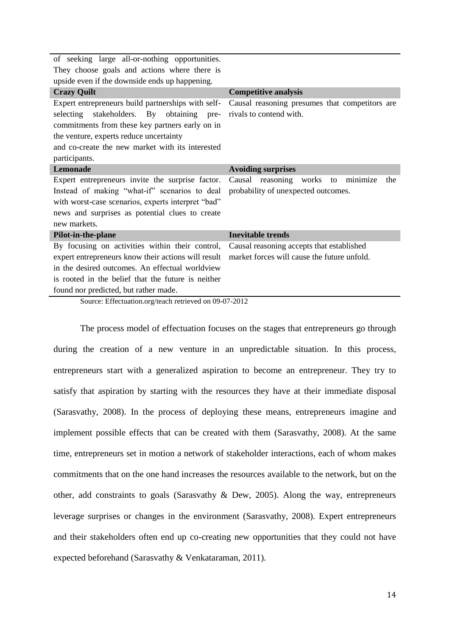| of seeking large all-or-nothing opportunities.                                                                                                                                                                                                                              |                                                                                          |  |
|-----------------------------------------------------------------------------------------------------------------------------------------------------------------------------------------------------------------------------------------------------------------------------|------------------------------------------------------------------------------------------|--|
| They choose goals and actions where there is                                                                                                                                                                                                                                |                                                                                          |  |
| upside even if the downside ends up happening.                                                                                                                                                                                                                              |                                                                                          |  |
| <b>Crazy Quilt</b>                                                                                                                                                                                                                                                          | <b>Competitive analysis</b>                                                              |  |
| Expert entrepreneurs build partnerships with self-<br>stakeholders. By<br>obtaining<br>selecting<br>pre-<br>commitments from these key partners early on in<br>the venture, experts reduce uncertainty<br>and co-create the new market with its interested<br>participants. | Causal reasoning presumes that competitors are<br>rivals to contend with.                |  |
| <b>Lemonade</b>                                                                                                                                                                                                                                                             | <b>Avoiding surprises</b>                                                                |  |
| Expert entrepreneurs invite the surprise factor.<br>Instead of making "what-if" scenarios to deal<br>with worst-case scenarios, experts interpret "bad"<br>news and surprises as potential clues to create<br>new markets.                                                  | Causal reasoning works<br>minimize<br>the<br>to<br>probability of unexpected outcomes.   |  |
| Pilot-in-the-plane                                                                                                                                                                                                                                                          | <b>Inevitable trends</b>                                                                 |  |
| By focusing on activities within their control,<br>expert entrepreneurs know their actions will result<br>in the desired outcomes. An effectual worldview<br>is rooted in the belief that the future is neither<br>found nor predicted, but rather made.                    | Causal reasoning accepts that established<br>market forces will cause the future unfold. |  |

Source: Effectuation.org/teach retrieved on 09-07-2012

The process model of effectuation focuses on the stages that entrepreneurs go through during the creation of a new venture in an unpredictable situation. In this process, entrepreneurs start with a generalized aspiration to become an entrepreneur. They try to satisfy that aspiration by starting with the resources they have at their immediate disposal (Sarasvathy, 2008). In the process of deploying these means, entrepreneurs imagine and implement possible effects that can be created with them (Sarasvathy, 2008). At the same time, entrepreneurs set in motion a network of stakeholder interactions, each of whom makes commitments that on the one hand increases the resources available to the network, but on the other, add constraints to goals (Sarasvathy & Dew, 2005). Along the way, entrepreneurs leverage surprises or changes in the environment (Sarasvathy, 2008). Expert entrepreneurs and their stakeholders often end up co-creating new opportunities that they could not have expected beforehand (Sarasvathy & Venkataraman, 2011).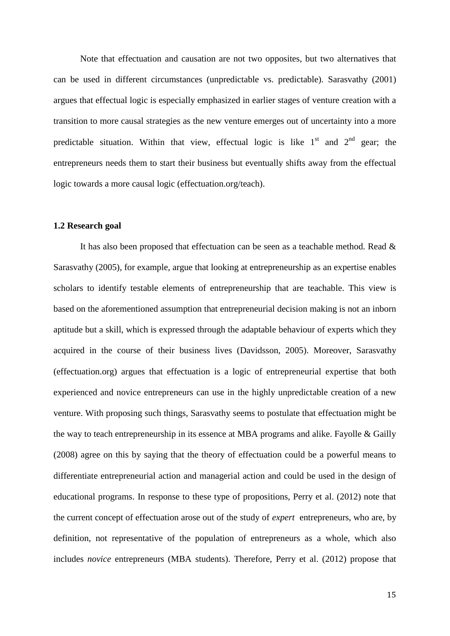Note that effectuation and causation are not two opposites, but two alternatives that can be used in different circumstances (unpredictable vs. predictable). Sarasvathy (2001) argues that effectual logic is especially emphasized in earlier stages of venture creation with a transition to more causal strategies as the new venture emerges out of uncertainty into a more predictable situation. Within that view, effectual logic is like  $1<sup>st</sup>$  and  $2<sup>nd</sup>$  gear; the entrepreneurs needs them to start their business but eventually shifts away from the effectual logic towards a more causal logic (effectuation.org/teach).

#### **1.2 Research goal**

It has also been proposed that effectuation can be seen as a teachable method. Read & Sarasvathy (2005), for example, argue that looking at entrepreneurship as an expertise enables scholars to identify testable elements of entrepreneurship that are teachable. This view is based on the aforementioned assumption that entrepreneurial decision making is not an inborn aptitude but a skill, which is expressed through the adaptable behaviour of experts which they acquired in the course of their business lives (Davidsson, 2005). Moreover, Sarasvathy (effectuation.org) argues that effectuation is a logic of entrepreneurial expertise that both experienced and novice entrepreneurs can use in the highly unpredictable creation of a new venture. With proposing such things, Sarasvathy seems to postulate that effectuation might be the way to teach entrepreneurship in its essence at MBA programs and alike. Fayolle & Gailly (2008) agree on this by saying that the theory of effectuation could be a powerful means to differentiate entrepreneurial action and managerial action and could be used in the design of educational programs. In response to these type of propositions, Perry et al. (2012) note that the current concept of effectuation arose out of the study of *expert* entrepreneurs, who are, by definition, not representative of the population of entrepreneurs as a whole, which also includes *novice* entrepreneurs (MBA students). Therefore, Perry et al. (2012) propose that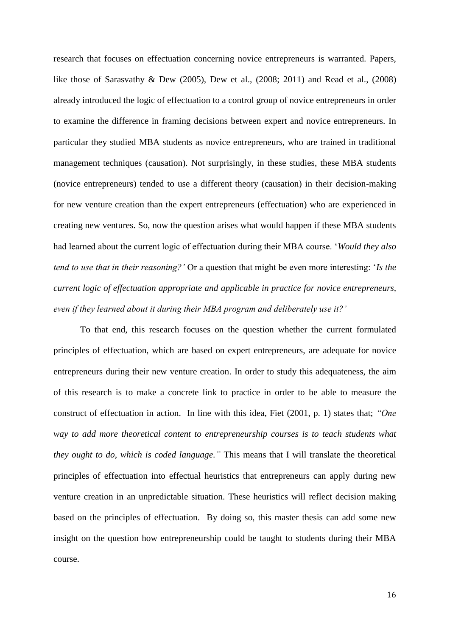research that focuses on effectuation concerning novice entrepreneurs is warranted. Papers, like those of Sarasvathy & Dew (2005), Dew et al., (2008; 2011) and Read et al., (2008) already introduced the logic of effectuation to a control group of novice entrepreneurs in order to examine the difference in framing decisions between expert and novice entrepreneurs. In particular they studied MBA students as novice entrepreneurs, who are trained in traditional management techniques (causation). Not surprisingly, in these studies, these MBA students (novice entrepreneurs) tended to use a different theory (causation) in their decision-making for new venture creation than the expert entrepreneurs (effectuation) who are experienced in creating new ventures. So, now the question arises what would happen if these MBA students had learned about the current logic of effectuation during their MBA course. '*Would they also tend to use that in their reasoning?'* Or a question that might be even more interesting: '*Is the current logic of effectuation appropriate and applicable in practice for novice entrepreneurs, even if they learned about it during their MBA program and deliberately use it?'* 

To that end, this research focuses on the question whether the current formulated principles of effectuation, which are based on expert entrepreneurs, are adequate for novice entrepreneurs during their new venture creation. In order to study this adequateness, the aim of this research is to make a concrete link to practice in order to be able to measure the construct of effectuation in action. In line with this idea, Fiet (2001, p. 1) states that; *"One way to add more theoretical content to entrepreneurship courses is to teach students what they ought to do, which is coded language."* This means that I will translate the theoretical principles of effectuation into effectual heuristics that entrepreneurs can apply during new venture creation in an unpredictable situation. These heuristics will reflect decision making based on the principles of effectuation. By doing so, this master thesis can add some new insight on the question how entrepreneurship could be taught to students during their MBA course.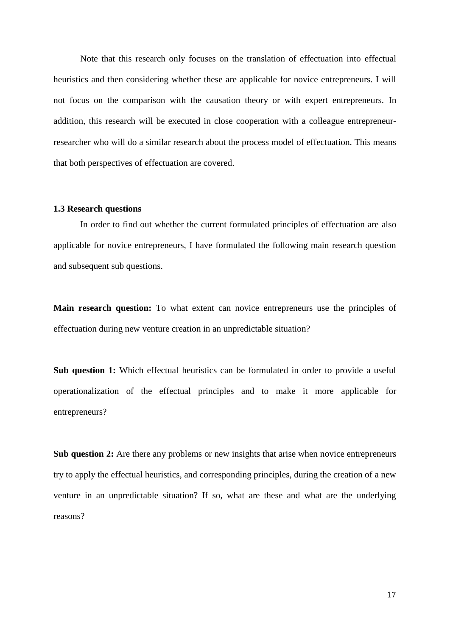Note that this research only focuses on the translation of effectuation into effectual heuristics and then considering whether these are applicable for novice entrepreneurs. I will not focus on the comparison with the causation theory or with expert entrepreneurs. In addition, this research will be executed in close cooperation with a colleague entrepreneurresearcher who will do a similar research about the process model of effectuation. This means that both perspectives of effectuation are covered.

#### **1.3 Research questions**

In order to find out whether the current formulated principles of effectuation are also applicable for novice entrepreneurs, I have formulated the following main research question and subsequent sub questions.

**Main research question:** To what extent can novice entrepreneurs use the principles of effectuation during new venture creation in an unpredictable situation?

**Sub question 1:** Which effectual heuristics can be formulated in order to provide a useful operationalization of the effectual principles and to make it more applicable for entrepreneurs?

**Sub question 2:** Are there any problems or new insights that arise when novice entrepreneurs try to apply the effectual heuristics, and corresponding principles, during the creation of a new venture in an unpredictable situation? If so, what are these and what are the underlying reasons?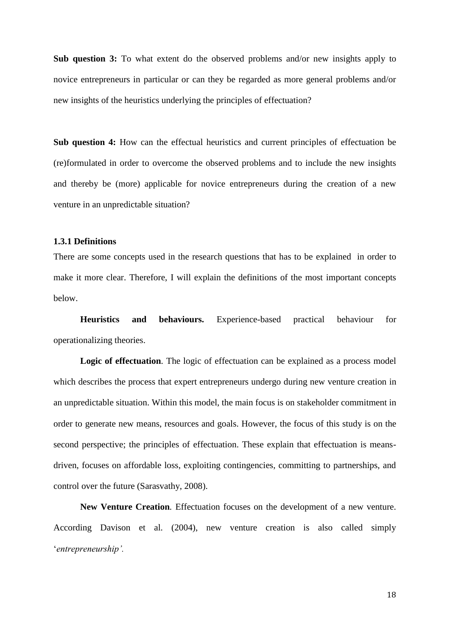**Sub question 3:** To what extent do the observed problems and/or new insights apply to novice entrepreneurs in particular or can they be regarded as more general problems and/or new insights of the heuristics underlying the principles of effectuation?

**Sub question 4:** How can the effectual heuristics and current principles of effectuation be (re)formulated in order to overcome the observed problems and to include the new insights and thereby be (more) applicable for novice entrepreneurs during the creation of a new venture in an unpredictable situation?

#### **1.3.1 Definitions**

There are some concepts used in the research questions that has to be explained in order to make it more clear. Therefore, I will explain the definitions of the most important concepts below.

**Heuristics and behaviours.** Experience-based practical behaviour for operationalizing theories.

**Logic of effectuation***.* The logic of effectuation can be explained as a process model which describes the process that expert entrepreneurs undergo during new venture creation in an unpredictable situation. Within this model, the main focus is on stakeholder commitment in order to generate new means, resources and goals. However, the focus of this study is on the second perspective; the principles of effectuation. These explain that effectuation is meansdriven, focuses on affordable loss, exploiting contingencies, committing to partnerships, and control over the future (Sarasvathy, 2008).

**New Venture Creation***.* Effectuation focuses on the development of a new venture. According Davison et al. (2004), new venture creation is also called simply '*entrepreneurship'.*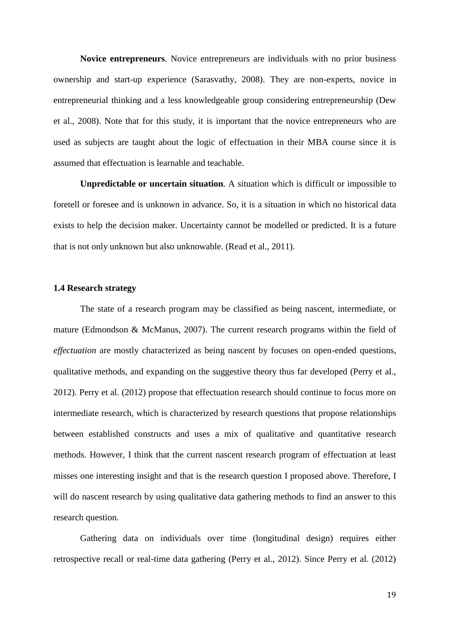**Novice entrepreneurs***.* Novice entrepreneurs are individuals with no prior business ownership and start-up experience (Sarasvathy, 2008). They are non-experts, novice in entrepreneurial thinking and a less knowledgeable group considering entrepreneurship (Dew et al., 2008). Note that for this study, it is important that the novice entrepreneurs who are used as subjects are taught about the logic of effectuation in their MBA course since it is assumed that effectuation is learnable and teachable.

**Unpredictable or uncertain situation***.* A situation which is difficult or impossible to foretell or foresee and is unknown in advance. So, it is a situation in which no historical data exists to help the decision maker. Uncertainty cannot be modelled or predicted. It is a future that is not only unknown but also unknowable. (Read et al., 2011).

### **1.4 Research strategy**

The state of a research program may be classified as being nascent, intermediate, or mature (Edmondson & McManus, 2007). The current research programs within the field of *effectuation* are mostly characterized as being nascent by focuses on open-ended questions, qualitative methods, and expanding on the suggestive theory thus far developed (Perry et al., 2012). Perry et al. (2012) propose that effectuation research should continue to focus more on intermediate research, which is characterized by research questions that propose relationships between established constructs and uses a mix of qualitative and quantitative research methods. However, I think that the current nascent research program of effectuation at least misses one interesting insight and that is the research question I proposed above. Therefore, I will do nascent research by using qualitative data gathering methods to find an answer to this research question.

Gathering data on individuals over time (longitudinal design) requires either retrospective recall or real-time data gathering (Perry et al., 2012). Since Perry et al. (2012)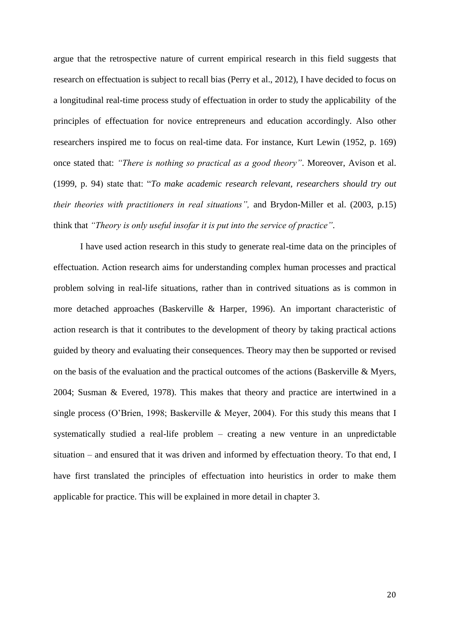argue that the retrospective nature of current empirical research in this field suggests that research on effectuation is subject to recall bias (Perry et al., 2012), I have decided to focus on a longitudinal real-time process study of effectuation in order to study the applicability of the principles of effectuation for novice entrepreneurs and education accordingly. Also other researchers inspired me to focus on real-time data. For instance, Kurt Lewin (1952, p. 169) once stated that: *"There is nothing so practical as a good theory"*. Moreover, Avison et al. (1999, p. 94) state that: "*To make academic research relevant, researchers should try out their theories with practitioners in real situations",* and Brydon-Miller et al. (2003, p.15) think that *"Theory is only useful insofar it is put into the service of practice"*.

I have used action research in this study to generate real-time data on the principles of effectuation. Action research aims for understanding complex human processes and practical problem solving in real-life situations, rather than in contrived situations as is common in more detached approaches (Baskerville & Harper, 1996). An important characteristic of action research is that it contributes to the development of theory by taking practical actions guided by theory and evaluating their consequences. Theory may then be supported or revised on the basis of the evaluation and the practical outcomes of the actions (Baskerville  $\&$  Myers, 2004; Susman & Evered, 1978). This makes that theory and practice are intertwined in a single process (O'Brien, 1998; Baskerville & Meyer, 2004). For this study this means that I systematically studied a real-life problem – creating a new venture in an unpredictable situation – and ensured that it was driven and informed by effectuation theory. To that end, I have first translated the principles of effectuation into heuristics in order to make them applicable for practice. This will be explained in more detail in chapter 3.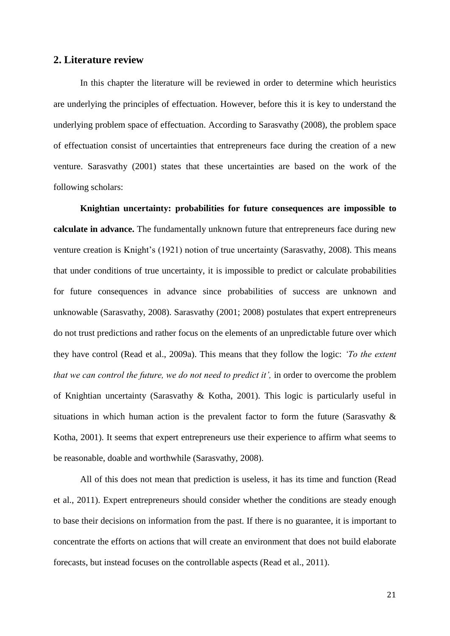# **2. Literature review**

In this chapter the literature will be reviewed in order to determine which heuristics are underlying the principles of effectuation. However, before this it is key to understand the underlying problem space of effectuation. According to Sarasvathy (2008), the problem space of effectuation consist of uncertainties that entrepreneurs face during the creation of a new venture. Sarasvathy (2001) states that these uncertainties are based on the work of the following scholars:

**Knightian uncertainty: probabilities for future consequences are impossible to calculate in advance.** The fundamentally unknown future that entrepreneurs face during new venture creation is Knight's (1921) notion of true uncertainty (Sarasvathy, 2008). This means that under conditions of true uncertainty, it is impossible to predict or calculate probabilities for future consequences in advance since probabilities of success are unknown and unknowable (Sarasvathy, 2008). Sarasvathy (2001; 2008) postulates that expert entrepreneurs do not trust predictions and rather focus on the elements of an unpredictable future over which they have control (Read et al., 2009a). This means that they follow the logic: *'To the extent that we can control the future, we do not need to predict it',* in order to overcome the problem of Knightian uncertainty (Sarasvathy & Kotha, 2001). This logic is particularly useful in situations in which human action is the prevalent factor to form the future (Sarasvathy  $\&$ Kotha, 2001). It seems that expert entrepreneurs use their experience to affirm what seems to be reasonable, doable and worthwhile (Sarasvathy, 2008).

All of this does not mean that prediction is useless, it has its time and function (Read et al., 2011). Expert entrepreneurs should consider whether the conditions are steady enough to base their decisions on information from the past. If there is no guarantee, it is important to concentrate the efforts on actions that will create an environment that does not build elaborate forecasts, but instead focuses on the controllable aspects (Read et al., 2011).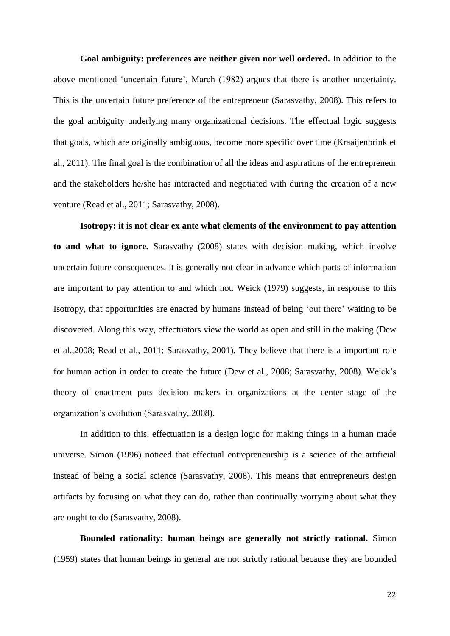**Goal ambiguity: preferences are neither given nor well ordered.** In addition to the above mentioned 'uncertain future', March (1982) argues that there is another uncertainty. This is the uncertain future preference of the entrepreneur (Sarasvathy, 2008). This refers to the goal ambiguity underlying many organizational decisions. The effectual logic suggests that goals, which are originally ambiguous, become more specific over time (Kraaijenbrink et al., 2011). The final goal is the combination of all the ideas and aspirations of the entrepreneur and the stakeholders he/she has interacted and negotiated with during the creation of a new venture (Read et al., 2011; Sarasvathy, 2008).

**Isotropy: it is not clear ex ante what elements of the environment to pay attention to and what to ignore.** Sarasvathy (2008) states with decision making, which involve uncertain future consequences, it is generally not clear in advance which parts of information are important to pay attention to and which not. Weick (1979) suggests, in response to this Isotropy, that opportunities are enacted by humans instead of being 'out there' waiting to be discovered. Along this way, effectuators view the world as open and still in the making (Dew et al.,2008; Read et al., 2011; Sarasvathy, 2001). They believe that there is a important role for human action in order to create the future (Dew et al., 2008; Sarasvathy, 2008). Weick's theory of enactment puts decision makers in organizations at the center stage of the organization's evolution (Sarasvathy, 2008).

In addition to this, effectuation is a design logic for making things in a human made universe. Simon (1996) noticed that effectual entrepreneurship is a science of the artificial instead of being a social science (Sarasvathy, 2008). This means that entrepreneurs design artifacts by focusing on what they can do, rather than continually worrying about what they are ought to do (Sarasvathy, 2008).

**Bounded rationality: human beings are generally not strictly rational.** Simon (1959) states that human beings in general are not strictly rational because they are bounded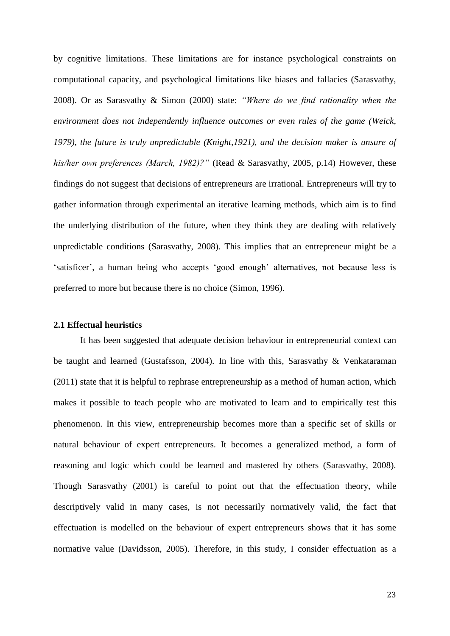by cognitive limitations. These limitations are for instance psychological constraints on computational capacity, and psychological limitations like biases and fallacies (Sarasvathy, 2008). Or as Sarasvathy & Simon (2000) state: *"Where do we find rationality when the environment does not independently influence outcomes or even rules of the game (Weick, 1979), the future is truly unpredictable (Knight,1921), and the decision maker is unsure of his/her own preferences (March, 1982)?"* (Read & Sarasvathy, 2005, p.14) However, these findings do not suggest that decisions of entrepreneurs are irrational. Entrepreneurs will try to gather information through experimental an iterative learning methods, which aim is to find the underlying distribution of the future, when they think they are dealing with relatively unpredictable conditions (Sarasvathy, 2008). This implies that an entrepreneur might be a 'satisficer', a human being who accepts 'good enough' alternatives, not because less is preferred to more but because there is no choice (Simon, 1996).

#### **2.1 Effectual heuristics**

It has been suggested that adequate decision behaviour in entrepreneurial context can be taught and learned (Gustafsson, 2004). In line with this, Sarasvathy & Venkataraman (2011) state that it is helpful to rephrase entrepreneurship as a method of human action, which makes it possible to teach people who are motivated to learn and to empirically test this phenomenon. In this view, entrepreneurship becomes more than a specific set of skills or natural behaviour of expert entrepreneurs. It becomes a generalized method, a form of reasoning and logic which could be learned and mastered by others (Sarasvathy, 2008). Though Sarasvathy (2001) is careful to point out that the effectuation theory, while descriptively valid in many cases, is not necessarily normatively valid, the fact that effectuation is modelled on the behaviour of expert entrepreneurs shows that it has some normative value (Davidsson, 2005). Therefore, in this study, I consider effectuation as a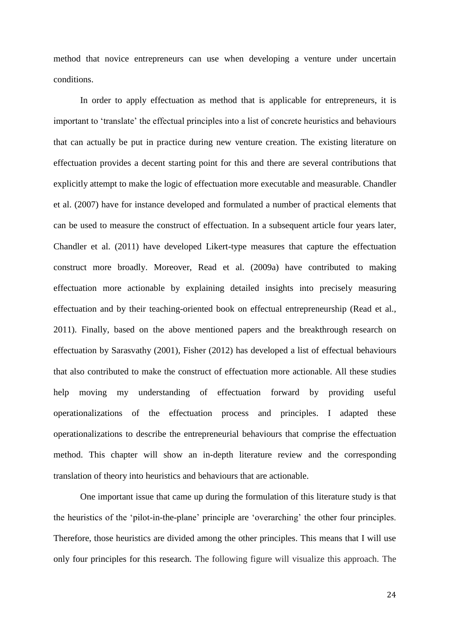method that novice entrepreneurs can use when developing a venture under uncertain conditions.

In order to apply effectuation as method that is applicable for entrepreneurs, it is important to 'translate' the effectual principles into a list of concrete heuristics and behaviours that can actually be put in practice during new venture creation. The existing literature on effectuation provides a decent starting point for this and there are several contributions that explicitly attempt to make the logic of effectuation more executable and measurable. Chandler et al. (2007) have for instance developed and formulated a number of practical elements that can be used to measure the construct of effectuation. In a subsequent article four years later, Chandler et al. (2011) have developed Likert-type measures that capture the effectuation construct more broadly. Moreover, Read et al. (2009a) have contributed to making effectuation more actionable by explaining detailed insights into precisely measuring effectuation and by their teaching-oriented book on effectual entrepreneurship (Read et al., 2011). Finally, based on the above mentioned papers and the breakthrough research on effectuation by Sarasvathy (2001), Fisher (2012) has developed a list of effectual behaviours that also contributed to make the construct of effectuation more actionable. All these studies help moving my understanding of effectuation forward by providing useful operationalizations of the effectuation process and principles. I adapted these operationalizations to describe the entrepreneurial behaviours that comprise the effectuation method. This chapter will show an in-depth literature review and the corresponding translation of theory into heuristics and behaviours that are actionable.

One important issue that came up during the formulation of this literature study is that the heuristics of the 'pilot-in-the-plane' principle are 'overarching' the other four principles. Therefore, those heuristics are divided among the other principles. This means that I will use only four principles for this research. The following figure will visualize this approach. The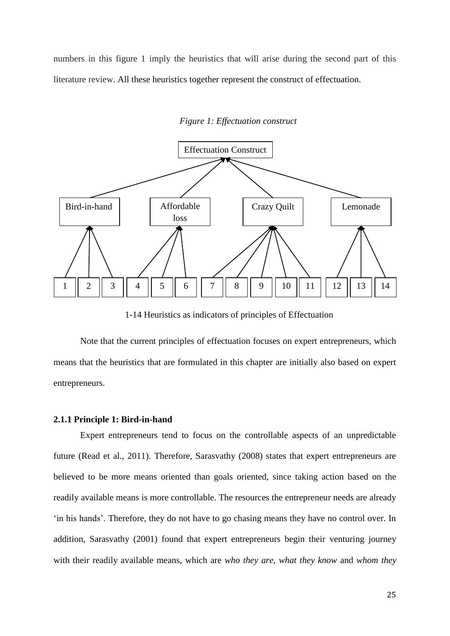numbers in this figure 1 imply the heuristics that will arise during the second part of this literature review. All these heuristics together represent the construct of effectuation.



*Figure 1: Effectuation construct*

1-14 Heuristics as indicators of principles of Effectuation

Note that the current principles of effectuation focuses on expert entrepreneurs, which means that the heuristics that are formulated in this chapter are initially also based on expert entrepreneurs.

#### **2.1.1 Principle 1: Bird-in-hand**

Expert entrepreneurs tend to focus on the controllable aspects of an unpredictable future (Read et al., 2011). Therefore, Sarasvathy (2008) states that expert entrepreneurs are believed to be more means oriented than goals oriented, since taking action based on the readily available means is more controllable. The resources the entrepreneur needs are already 'in his hands'. Therefore, they do not have to go chasing means they have no control over. In addition, Sarasvathy (2001) found that expert entrepreneurs begin their venturing journey with their readily available means, which are *who they are, what they know* and *whom they*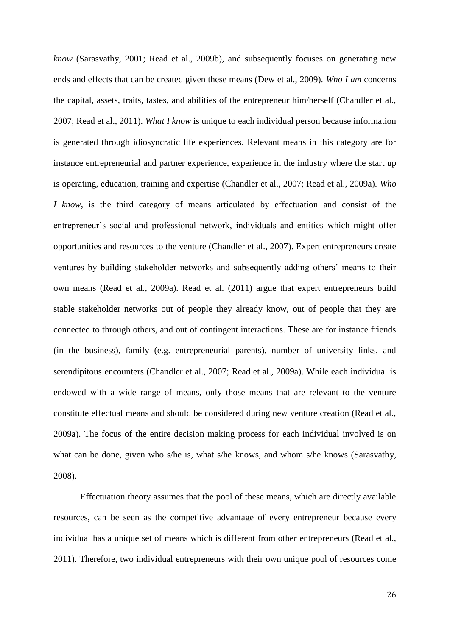*know* (Sarasvathy, 2001; Read et al., 2009b)*,* and subsequently focuses on generating new ends and effects that can be created given these means (Dew et al., 2009). *Who I am* concerns the capital, assets, traits, tastes, and abilities of the entrepreneur him/herself (Chandler et al., 2007; Read et al., 2011). *What I know* is unique to each individual person because information is generated through idiosyncratic life experiences. Relevant means in this category are for instance entrepreneurial and partner experience, experience in the industry where the start up is operating, education, training and expertise (Chandler et al., 2007; Read et al., 2009a). *Who I know*, is the third category of means articulated by effectuation and consist of the entrepreneur's social and professional network, individuals and entities which might offer opportunities and resources to the venture (Chandler et al., 2007). Expert entrepreneurs create ventures by building stakeholder networks and subsequently adding others' means to their own means (Read et al., 2009a). Read et al. (2011) argue that expert entrepreneurs build stable stakeholder networks out of people they already know, out of people that they are connected to through others, and out of contingent interactions. These are for instance friends (in the business), family (e.g. entrepreneurial parents), number of university links, and serendipitous encounters (Chandler et al., 2007; Read et al., 2009a). While each individual is endowed with a wide range of means, only those means that are relevant to the venture constitute effectual means and should be considered during new venture creation (Read et al., 2009a). The focus of the entire decision making process for each individual involved is on what can be done, given who s/he is, what s/he knows, and whom s/he knows (Sarasvathy, 2008).

Effectuation theory assumes that the pool of these means, which are directly available resources, can be seen as the competitive advantage of every entrepreneur because every individual has a unique set of means which is different from other entrepreneurs (Read et al., 2011). Therefore, two individual entrepreneurs with their own unique pool of resources come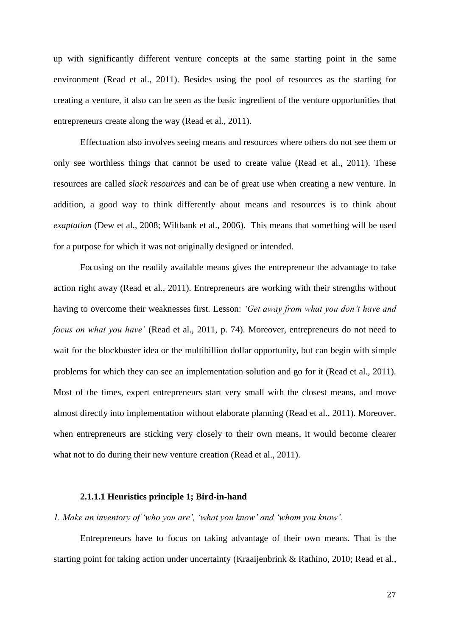up with significantly different venture concepts at the same starting point in the same environment (Read et al., 2011). Besides using the pool of resources as the starting for creating a venture, it also can be seen as the basic ingredient of the venture opportunities that entrepreneurs create along the way (Read et al., 2011).

Effectuation also involves seeing means and resources where others do not see them or only see worthless things that cannot be used to create value (Read et al., 2011). These resources are called *slack resources* and can be of great use when creating a new venture. In addition, a good way to think differently about means and resources is to think about *exaptation* (Dew et al., 2008; Wiltbank et al., 2006). This means that something will be used for a purpose for which it was not originally designed or intended.

Focusing on the readily available means gives the entrepreneur the advantage to take action right away (Read et al., 2011). Entrepreneurs are working with their strengths without having to overcome their weaknesses first. Lesson: *'Get away from what you don't have and focus on what you have'* (Read et al., 2011, p. 74). Moreover, entrepreneurs do not need to wait for the blockbuster idea or the multibillion dollar opportunity, but can begin with simple problems for which they can see an implementation solution and go for it (Read et al., 2011). Most of the times, expert entrepreneurs start very small with the closest means, and move almost directly into implementation without elaborate planning (Read et al., 2011). Moreover, when entrepreneurs are sticking very closely to their own means, it would become clearer what not to do during their new venture creation (Read et al., 2011).

#### **2.1.1.1 Heuristics principle 1; Bird-in-hand**

*1. Make an inventory of 'who you are', 'what you know' and 'whom you know'.*

Entrepreneurs have to focus on taking advantage of their own means. That is the starting point for taking action under uncertainty (Kraaijenbrink & Rathino, 2010; Read et al.,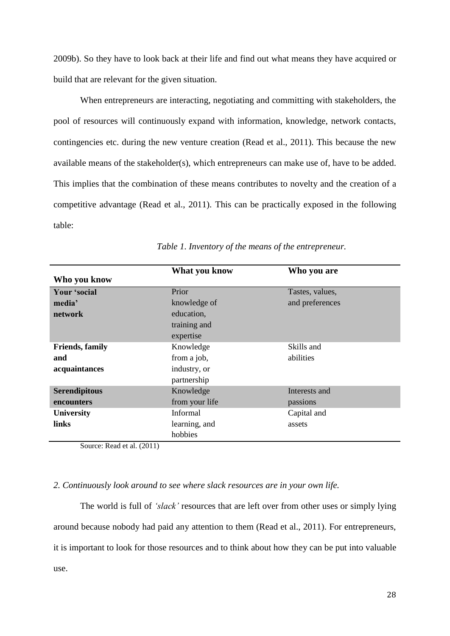2009b). So they have to look back at their life and find out what means they have acquired or build that are relevant for the given situation.

When entrepreneurs are interacting, negotiating and committing with stakeholders, the pool of resources will continuously expand with information, knowledge, network contacts, contingencies etc. during the new venture creation (Read et al., 2011). This because the new available means of the stakeholder(s), which entrepreneurs can make use of, have to be added. This implies that the combination of these means contributes to novelty and the creation of a competitive advantage (Read et al., 2011). This can be practically exposed in the following table:

|                | Who you are     |
|----------------|-----------------|
|                |                 |
| Prior          | Tastes, values, |
| knowledge of   | and preferences |
| education,     |                 |
| training and   |                 |
| expertise      |                 |
| Knowledge      | Skills and      |
| from a job,    | abilities       |
| industry, or   |                 |
| partnership    |                 |
| Knowledge      | Interests and   |
| from your life | passions        |
| Informal       | Capital and     |
| learning, and  | assets          |
| hobbies        |                 |
|                | What you know   |

*Table 1. Inventory of the means of the entrepreneur.*

Source: Read et al. (2011)

#### *2. Continuously look around to see where slack resources are in your own life.*

The world is full of *'slack'* resources that are left over from other uses or simply lying around because nobody had paid any attention to them (Read et al., 2011). For entrepreneurs, it is important to look for those resources and to think about how they can be put into valuable use.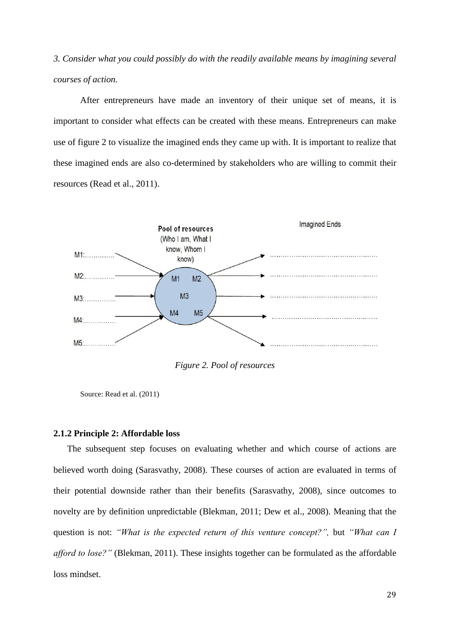*3. Consider what you could possibly do with the readily available means by imagining several courses of action.* 

After entrepreneurs have made an inventory of their unique set of means, it is important to consider what effects can be created with these means. Entrepreneurs can make use of figure 2 to visualize the imagined ends they came up with. It is important to realize that these imagined ends are also co-determined by stakeholders who are willing to commit their resources (Read et al., 2011).



*Figure 2. Pool of resources*

Source: Read et al. (2011)

#### **2.1.2 Principle 2: Affordable loss**

The subsequent step focuses on evaluating whether and which course of actions are believed worth doing (Sarasvathy, 2008). These courses of action are evaluated in terms of their potential downside rather than their benefits (Sarasvathy, 2008), since outcomes to novelty are by definition unpredictable (Blekman, 2011; Dew et al., 2008). Meaning that the question is not: *"What is the expected return of this venture concept?",* but *"What can I afford to lose?"* (Blekman, 2011). These insights together can be formulated as the affordable loss mindset.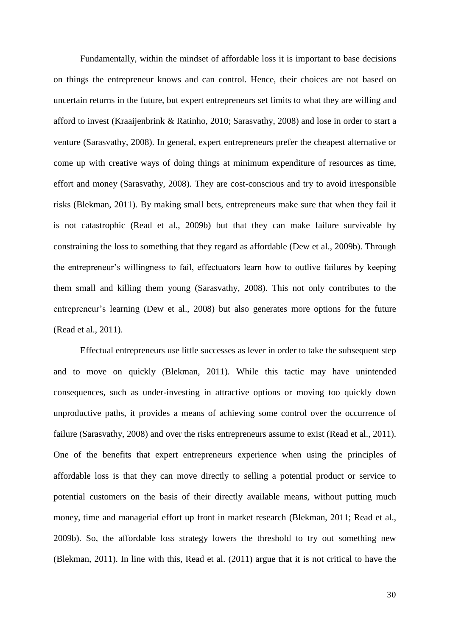Fundamentally, within the mindset of affordable loss it is important to base decisions on things the entrepreneur knows and can control. Hence, their choices are not based on uncertain returns in the future, but expert entrepreneurs set limits to what they are willing and afford to invest (Kraaijenbrink & Ratinho, 2010; Sarasvathy, 2008) and lose in order to start a venture (Sarasvathy, 2008). In general, expert entrepreneurs prefer the cheapest alternative or come up with creative ways of doing things at minimum expenditure of resources as time, effort and money (Sarasvathy, 2008). They are cost-conscious and try to avoid irresponsible risks (Blekman, 2011). By making small bets, entrepreneurs make sure that when they fail it is not catastrophic (Read et al., 2009b) but that they can make failure survivable by constraining the loss to something that they regard as affordable (Dew et al., 2009b). Through the entrepreneur's willingness to fail, effectuators learn how to outlive failures by keeping them small and killing them young (Sarasvathy, 2008). This not only contributes to the entrepreneur's learning (Dew et al., 2008) but also generates more options for the future (Read et al., 2011).

Effectual entrepreneurs use little successes as lever in order to take the subsequent step and to move on quickly (Blekman, 2011). While this tactic may have unintended consequences, such as under-investing in attractive options or moving too quickly down unproductive paths, it provides a means of achieving some control over the occurrence of failure (Sarasvathy, 2008) and over the risks entrepreneurs assume to exist (Read et al., 2011). One of the benefits that expert entrepreneurs experience when using the principles of affordable loss is that they can move directly to selling a potential product or service to potential customers on the basis of their directly available means, without putting much money, time and managerial effort up front in market research (Blekman, 2011; Read et al., 2009b). So, the affordable loss strategy lowers the threshold to try out something new (Blekman, 2011). In line with this, Read et al. (2011) argue that it is not critical to have the

30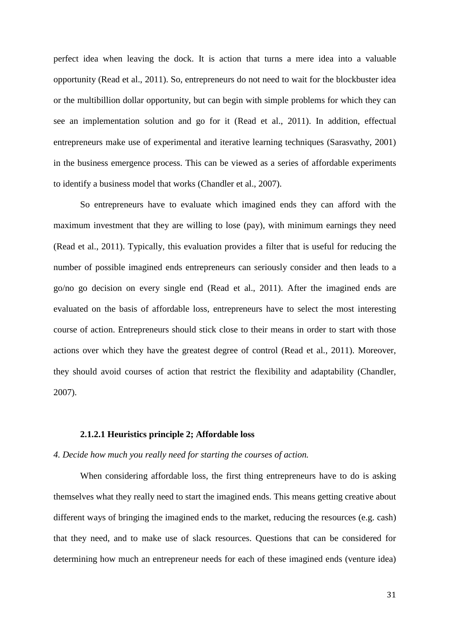perfect idea when leaving the dock. It is action that turns a mere idea into a valuable opportunity (Read et al., 2011). So, entrepreneurs do not need to wait for the blockbuster idea or the multibillion dollar opportunity, but can begin with simple problems for which they can see an implementation solution and go for it (Read et al., 2011). In addition, effectual entrepreneurs make use of experimental and iterative learning techniques (Sarasvathy, 2001) in the business emergence process. This can be viewed as a series of affordable experiments to identify a business model that works (Chandler et al., 2007).

So entrepreneurs have to evaluate which imagined ends they can afford with the maximum investment that they are willing to lose (pay), with minimum earnings they need (Read et al., 2011). Typically, this evaluation provides a filter that is useful for reducing the number of possible imagined ends entrepreneurs can seriously consider and then leads to a go/no go decision on every single end (Read et al., 2011). After the imagined ends are evaluated on the basis of affordable loss, entrepreneurs have to select the most interesting course of action. Entrepreneurs should stick close to their means in order to start with those actions over which they have the greatest degree of control (Read et al., 2011). Moreover, they should avoid courses of action that restrict the flexibility and adaptability (Chandler, 2007).

#### **2.1.2.1 Heuristics principle 2; Affordable loss**

#### *4. Decide how much you really need for starting the courses of action.*

When considering affordable loss, the first thing entrepreneurs have to do is asking themselves what they really need to start the imagined ends. This means getting creative about different ways of bringing the imagined ends to the market, reducing the resources (e.g. cash) that they need, and to make use of slack resources. Questions that can be considered for determining how much an entrepreneur needs for each of these imagined ends (venture idea)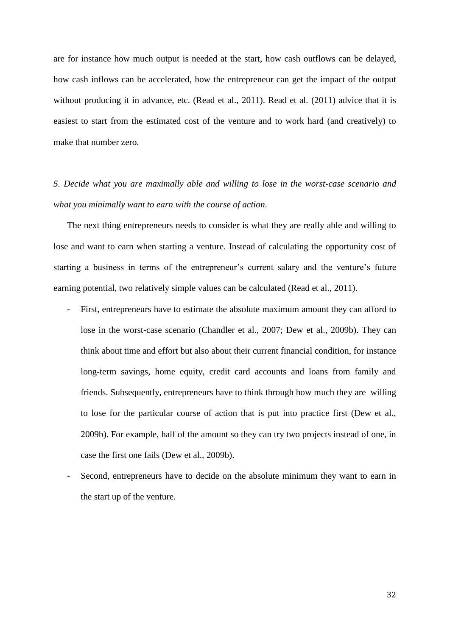are for instance how much output is needed at the start, how cash outflows can be delayed, how cash inflows can be accelerated, how the entrepreneur can get the impact of the output without producing it in advance, etc. (Read et al., 2011). Read et al. (2011) advice that it is easiest to start from the estimated cost of the venture and to work hard (and creatively) to make that number zero.

*5. Decide what you are maximally able and willing to lose in the worst-case scenario and what you minimally want to earn with the course of action.*

The next thing entrepreneurs needs to consider is what they are really able and willing to lose and want to earn when starting a venture. Instead of calculating the opportunity cost of starting a business in terms of the entrepreneur's current salary and the venture's future earning potential, two relatively simple values can be calculated (Read et al., 2011).

- First, entrepreneurs have to estimate the absolute maximum amount they can afford to lose in the worst-case scenario (Chandler et al., 2007; Dew et al., 2009b). They can think about time and effort but also about their current financial condition, for instance long-term savings, home equity, credit card accounts and loans from family and friends. Subsequently, entrepreneurs have to think through how much they are willing to lose for the particular course of action that is put into practice first (Dew et al., 2009b). For example, half of the amount so they can try two projects instead of one, in case the first one fails (Dew et al., 2009b).
- Second, entrepreneurs have to decide on the absolute minimum they want to earn in the start up of the venture.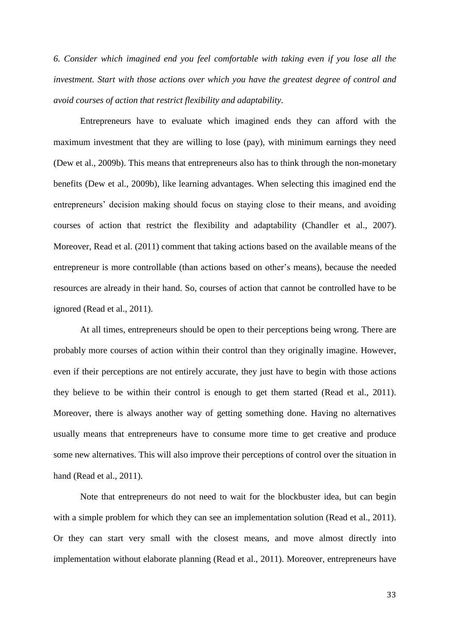*6. Consider which imagined end you feel comfortable with taking even if you lose all the investment. Start with those actions over which you have the greatest degree of control and avoid courses of action that restrict flexibility and adaptability.*

Entrepreneurs have to evaluate which imagined ends they can afford with the maximum investment that they are willing to lose (pay), with minimum earnings they need (Dew et al., 2009b). This means that entrepreneurs also has to think through the non-monetary benefits (Dew et al., 2009b), like learning advantages. When selecting this imagined end the entrepreneurs' decision making should focus on staying close to their means, and avoiding courses of action that restrict the flexibility and adaptability (Chandler et al., 2007). Moreover, Read et al. (2011) comment that taking actions based on the available means of the entrepreneur is more controllable (than actions based on other's means), because the needed resources are already in their hand. So, courses of action that cannot be controlled have to be ignored (Read et al., 2011).

At all times, entrepreneurs should be open to their perceptions being wrong. There are probably more courses of action within their control than they originally imagine. However, even if their perceptions are not entirely accurate, they just have to begin with those actions they believe to be within their control is enough to get them started (Read et al., 2011). Moreover, there is always another way of getting something done. Having no alternatives usually means that entrepreneurs have to consume more time to get creative and produce some new alternatives. This will also improve their perceptions of control over the situation in hand (Read et al., 2011).

Note that entrepreneurs do not need to wait for the blockbuster idea, but can begin with a simple problem for which they can see an implementation solution (Read et al., 2011). Or they can start very small with the closest means, and move almost directly into implementation without elaborate planning (Read et al., 2011). Moreover, entrepreneurs have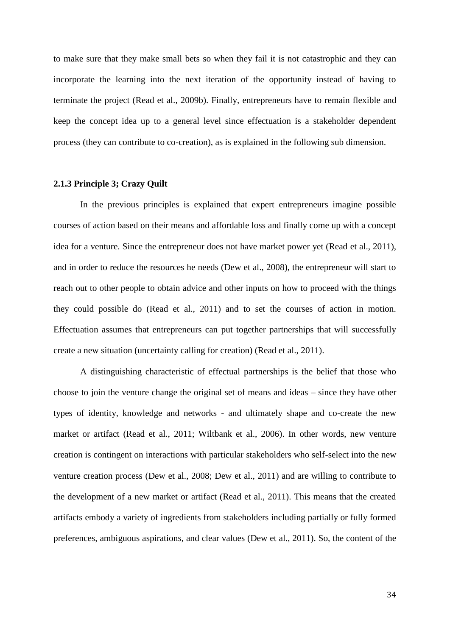to make sure that they make small bets so when they fail it is not catastrophic and they can incorporate the learning into the next iteration of the opportunity instead of having to terminate the project (Read et al., 2009b). Finally, entrepreneurs have to remain flexible and keep the concept idea up to a general level since effectuation is a stakeholder dependent process (they can contribute to co-creation), as is explained in the following sub dimension.

#### **2.1.3 Principle 3; Crazy Quilt**

In the previous principles is explained that expert entrepreneurs imagine possible courses of action based on their means and affordable loss and finally come up with a concept idea for a venture. Since the entrepreneur does not have market power yet (Read et al., 2011), and in order to reduce the resources he needs (Dew et al., 2008), the entrepreneur will start to reach out to other people to obtain advice and other inputs on how to proceed with the things they could possible do (Read et al., 2011) and to set the courses of action in motion. Effectuation assumes that entrepreneurs can put together partnerships that will successfully create a new situation (uncertainty calling for creation) (Read et al., 2011).

A distinguishing characteristic of effectual partnerships is the belief that those who choose to join the venture change the original set of means and ideas – since they have other types of identity, knowledge and networks - and ultimately shape and co-create the new market or artifact (Read et al., 2011; Wiltbank et al., 2006). In other words, new venture creation is contingent on interactions with particular stakeholders who self-select into the new venture creation process (Dew et al., 2008; Dew et al., 2011) and are willing to contribute to the development of a new market or artifact (Read et al., 2011). This means that the created artifacts embody a variety of ingredients from stakeholders including partially or fully formed preferences, ambiguous aspirations, and clear values (Dew et al., 2011). So, the content of the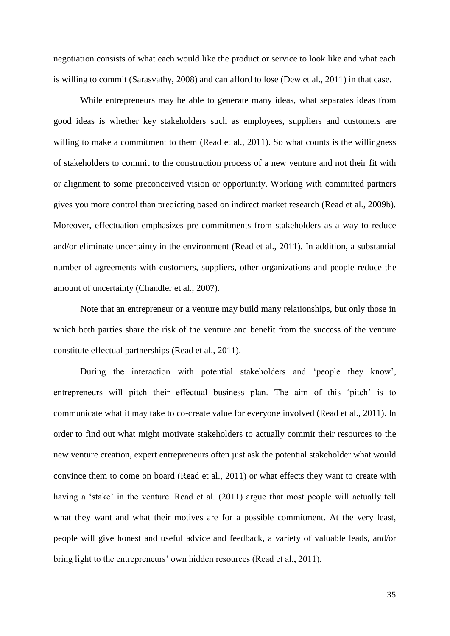negotiation consists of what each would like the product or service to look like and what each is willing to commit (Sarasvathy, 2008) and can afford to lose (Dew et al., 2011) in that case.

While entrepreneurs may be able to generate many ideas, what separates ideas from good ideas is whether key stakeholders such as employees, suppliers and customers are willing to make a commitment to them (Read et al., 2011). So what counts is the willingness of stakeholders to commit to the construction process of a new venture and not their fit with or alignment to some preconceived vision or opportunity. Working with committed partners gives you more control than predicting based on indirect market research (Read et al., 2009b). Moreover, effectuation emphasizes pre-commitments from stakeholders as a way to reduce and/or eliminate uncertainty in the environment (Read et al., 2011). In addition, a substantial number of agreements with customers, suppliers, other organizations and people reduce the amount of uncertainty (Chandler et al., 2007).

Note that an entrepreneur or a venture may build many relationships, but only those in which both parties share the risk of the venture and benefit from the success of the venture constitute effectual partnerships (Read et al., 2011).

During the interaction with potential stakeholders and 'people they know', entrepreneurs will pitch their effectual business plan. The aim of this 'pitch' is to communicate what it may take to co-create value for everyone involved (Read et al., 2011). In order to find out what might motivate stakeholders to actually commit their resources to the new venture creation, expert entrepreneurs often just ask the potential stakeholder what would convince them to come on board (Read et al., 2011) or what effects they want to create with having a 'stake' in the venture. Read et al. (2011) argue that most people will actually tell what they want and what their motives are for a possible commitment. At the very least, people will give honest and useful advice and feedback, a variety of valuable leads, and/or bring light to the entrepreneurs' own hidden resources (Read et al., 2011).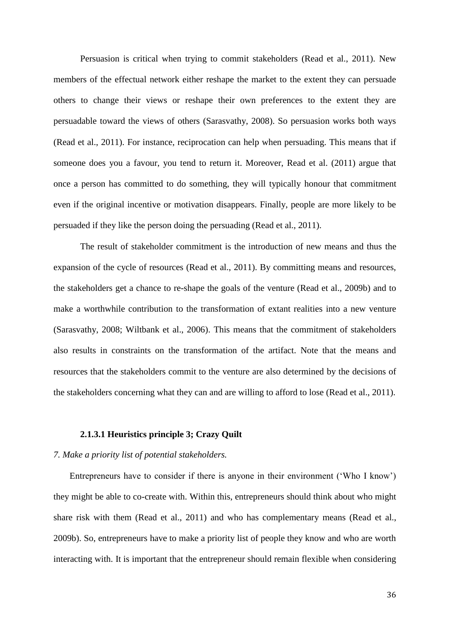Persuasion is critical when trying to commit stakeholders (Read et al., 2011). New members of the effectual network either reshape the market to the extent they can persuade others to change their views or reshape their own preferences to the extent they are persuadable toward the views of others (Sarasvathy, 2008). So persuasion works both ways (Read et al., 2011). For instance, reciprocation can help when persuading. This means that if someone does you a favour, you tend to return it. Moreover, Read et al. (2011) argue that once a person has committed to do something, they will typically honour that commitment even if the original incentive or motivation disappears. Finally, people are more likely to be persuaded if they like the person doing the persuading (Read et al., 2011).

The result of stakeholder commitment is the introduction of new means and thus the expansion of the cycle of resources (Read et al., 2011). By committing means and resources, the stakeholders get a chance to re-shape the goals of the venture (Read et al., 2009b) and to make a worthwhile contribution to the transformation of extant realities into a new venture (Sarasvathy, 2008; Wiltbank et al., 2006). This means that the commitment of stakeholders also results in constraints on the transformation of the artifact. Note that the means and resources that the stakeholders commit to the venture are also determined by the decisions of the stakeholders concerning what they can and are willing to afford to lose (Read et al., 2011).

### **2.1.3.1 Heuristics principle 3; Crazy Quilt**

#### *7. Make a priority list of potential stakeholders.*

Entrepreneurs have to consider if there is anyone in their environment ('Who I know') they might be able to co-create with. Within this, entrepreneurs should think about who might share risk with them (Read et al., 2011) and who has complementary means (Read et al., 2009b). So, entrepreneurs have to make a priority list of people they know and who are worth interacting with. It is important that the entrepreneur should remain flexible when considering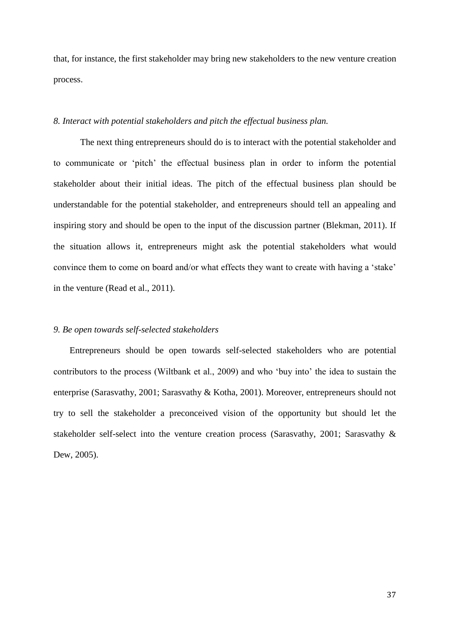that, for instance, the first stakeholder may bring new stakeholders to the new venture creation process.

# *8. Interact with potential stakeholders and pitch the effectual business plan.*

The next thing entrepreneurs should do is to interact with the potential stakeholder and to communicate or 'pitch' the effectual business plan in order to inform the potential stakeholder about their initial ideas. The pitch of the effectual business plan should be understandable for the potential stakeholder, and entrepreneurs should tell an appealing and inspiring story and should be open to the input of the discussion partner (Blekman, 2011). If the situation allows it, entrepreneurs might ask the potential stakeholders what would convince them to come on board and/or what effects they want to create with having a 'stake' in the venture (Read et al., 2011).

### *9. Be open towards self-selected stakeholders*

Entrepreneurs should be open towards self-selected stakeholders who are potential contributors to the process (Wiltbank et al., 2009) and who 'buy into' the idea to sustain the enterprise (Sarasvathy, 2001; Sarasvathy & Kotha, 2001). Moreover, entrepreneurs should not try to sell the stakeholder a preconceived vision of the opportunity but should let the stakeholder self-select into the venture creation process (Sarasvathy, 2001; Sarasvathy & Dew, 2005).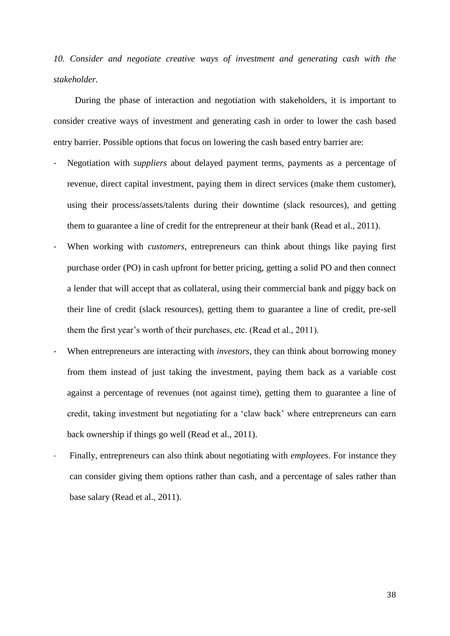*10. Consider and negotiate creative ways of investment and generating cash with the stakeholder.*

During the phase of interaction and negotiation with stakeholders, it is important to consider creative ways of investment and generating cash in order to lower the cash based entry barrier. Possible options that focus on lowering the cash based entry barrier are:

- Negotiation with *suppliers* about delayed payment terms, payments as a percentage of revenue, direct capital investment, paying them in direct services (make them customer), using their process/assets/talents during their downtime (slack resources), and getting them to guarantee a line of credit for the entrepreneur at their bank (Read et al., 2011).
- When working with *customers*, entrepreneurs can think about things like paying first purchase order (PO) in cash upfront for better pricing, getting a solid PO and then connect a lender that will accept that as collateral, using their commercial bank and piggy back on their line of credit (slack resources), getting them to guarantee a line of credit, pre-sell them the first year's worth of their purchases, etc. (Read et al., 2011).
- When entrepreneurs are interacting with *investors*, they can think about borrowing money from them instead of just taking the investment, paying them back as a variable cost against a percentage of revenues (not against time), getting them to guarantee a line of credit, taking investment but negotiating for a 'claw back' where entrepreneurs can earn back ownership if things go well (Read et al., 2011).
- Finally, entrepreneurs can also think about negotiating with *employees*. For instance they can consider giving them options rather than cash, and a percentage of sales rather than base salary (Read et al., 2011).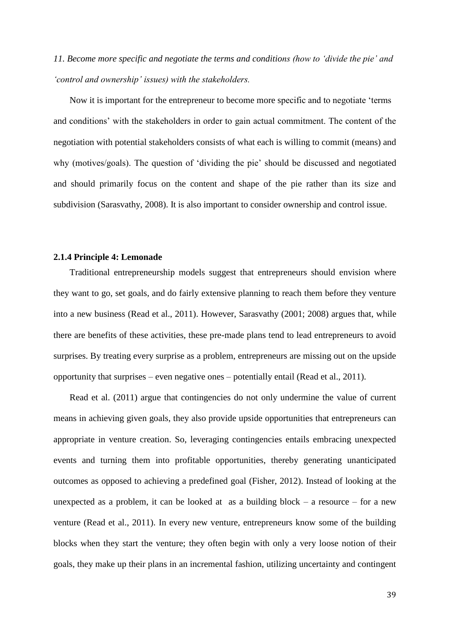*11. Become more specific and negotiate the terms and conditions (how to 'divide the pie' and 'control and ownership' issues) with the stakeholders.*

Now it is important for the entrepreneur to become more specific and to negotiate 'terms and conditions' with the stakeholders in order to gain actual commitment. The content of the negotiation with potential stakeholders consists of what each is willing to commit (means) and why (motives/goals). The question of 'dividing the pie' should be discussed and negotiated and should primarily focus on the content and shape of the pie rather than its size and subdivision (Sarasvathy, 2008). It is also important to consider ownership and control issue.

### **2.1.4 Principle 4: Lemonade**

Traditional entrepreneurship models suggest that entrepreneurs should envision where they want to go, set goals, and do fairly extensive planning to reach them before they venture into a new business (Read et al., 2011). However, Sarasvathy (2001; 2008) argues that, while there are benefits of these activities, these pre-made plans tend to lead entrepreneurs to avoid surprises. By treating every surprise as a problem, entrepreneurs are missing out on the upside opportunity that surprises – even negative ones – potentially entail (Read et al., 2011).

Read et al. (2011) argue that contingencies do not only undermine the value of current means in achieving given goals, they also provide upside opportunities that entrepreneurs can appropriate in venture creation. So, leveraging contingencies entails embracing unexpected events and turning them into profitable opportunities, thereby generating unanticipated outcomes as opposed to achieving a predefined goal (Fisher, 2012). Instead of looking at the unexpected as a problem, it can be looked at as a building block – a resource – for a new venture (Read et al., 2011). In every new venture, entrepreneurs know some of the building blocks when they start the venture; they often begin with only a very loose notion of their goals, they make up their plans in an incremental fashion, utilizing uncertainty and contingent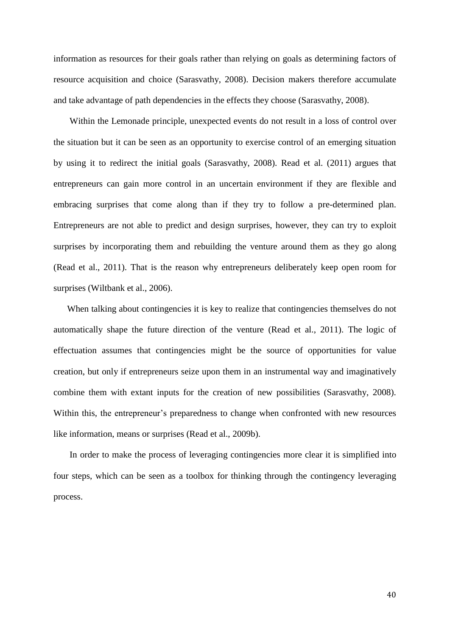information as resources for their goals rather than relying on goals as determining factors of resource acquisition and choice (Sarasvathy, 2008). Decision makers therefore accumulate and take advantage of path dependencies in the effects they choose (Sarasvathy, 2008).

Within the Lemonade principle, unexpected events do not result in a loss of control over the situation but it can be seen as an opportunity to exercise control of an emerging situation by using it to redirect the initial goals (Sarasvathy, 2008). Read et al. (2011) argues that entrepreneurs can gain more control in an uncertain environment if they are flexible and embracing surprises that come along than if they try to follow a pre-determined plan. Entrepreneurs are not able to predict and design surprises, however, they can try to exploit surprises by incorporating them and rebuilding the venture around them as they go along (Read et al., 2011). That is the reason why entrepreneurs deliberately keep open room for surprises (Wiltbank et al., 2006).

When talking about contingencies it is key to realize that contingencies themselves do not automatically shape the future direction of the venture (Read et al., 2011). The logic of effectuation assumes that contingencies might be the source of opportunities for value creation, but only if entrepreneurs seize upon them in an instrumental way and imaginatively combine them with extant inputs for the creation of new possibilities (Sarasvathy, 2008). Within this, the entrepreneur's preparedness to change when confronted with new resources like information, means or surprises (Read et al., 2009b).

In order to make the process of leveraging contingencies more clear it is simplified into four steps, which can be seen as a toolbox for thinking through the contingency leveraging process.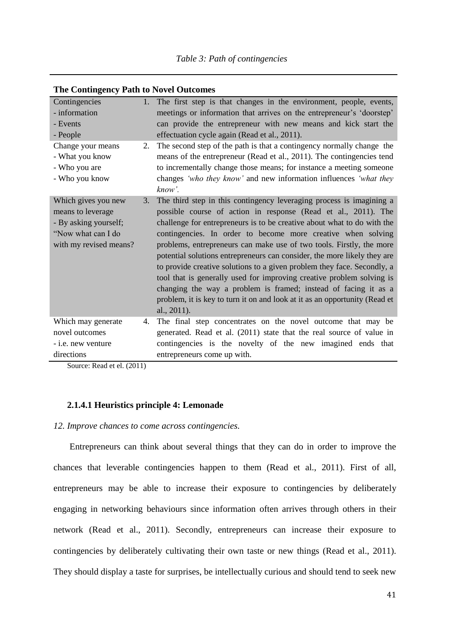| Contingencies                                                                                                     | $1_{\cdot}$ | The first step is that changes in the environment, people, events,                                                                                                                                                                                                                                                                                                                                                                                                                                                                                                                                                                                                                                                                                           |
|-------------------------------------------------------------------------------------------------------------------|-------------|--------------------------------------------------------------------------------------------------------------------------------------------------------------------------------------------------------------------------------------------------------------------------------------------------------------------------------------------------------------------------------------------------------------------------------------------------------------------------------------------------------------------------------------------------------------------------------------------------------------------------------------------------------------------------------------------------------------------------------------------------------------|
| - information                                                                                                     |             | meetings or information that arrives on the entrepreneur's 'doorstep'                                                                                                                                                                                                                                                                                                                                                                                                                                                                                                                                                                                                                                                                                        |
| - Events                                                                                                          |             | can provide the entrepreneur with new means and kick start the                                                                                                                                                                                                                                                                                                                                                                                                                                                                                                                                                                                                                                                                                               |
| - People                                                                                                          |             | effectuation cycle again (Read et al., 2011).                                                                                                                                                                                                                                                                                                                                                                                                                                                                                                                                                                                                                                                                                                                |
| Change your means<br>- What you know<br>- Who you are<br>- Who you know                                           | 2.          | The second step of the path is that a contingency normally change the<br>means of the entrepreneur (Read et al., 2011). The contingencies tend<br>to incrementally change those means; for instance a meeting someone<br>changes 'who they know' and new information influences 'what they<br>know'.                                                                                                                                                                                                                                                                                                                                                                                                                                                         |
| Which gives you new<br>means to leverage<br>- By asking yourself;<br>"Now what can I do<br>with my revised means? | 3.          | The third step in this contingency leveraging process is imagining a<br>possible course of action in response (Read et al., 2011). The<br>challenge for entrepreneurs is to be creative about what to do with the<br>contingencies. In order to become more creative when solving<br>problems, entrepreneurs can make use of two tools. Firstly, the more<br>potential solutions entrepreneurs can consider, the more likely they are<br>to provide creative solutions to a given problem they face. Secondly, a<br>tool that is generally used for improving creative problem solving is<br>changing the way a problem is framed; instead of facing it as a<br>problem, it is key to turn it on and look at it as an opportunity (Read et<br>al., $2011$ ). |
| Which may generate                                                                                                | 4.          | The final step concentrates on the novel outcome that may be                                                                                                                                                                                                                                                                                                                                                                                                                                                                                                                                                                                                                                                                                                 |
| novel outcomes                                                                                                    |             | generated. Read et al. (2011) state that the real source of value in                                                                                                                                                                                                                                                                                                                                                                                                                                                                                                                                                                                                                                                                                         |
| - <i>i.e.</i> new venture                                                                                         |             | contingencies is the novelty of the new imagined ends that                                                                                                                                                                                                                                                                                                                                                                                                                                                                                                                                                                                                                                                                                                   |
| directions                                                                                                        |             | entrepreneurs come up with.                                                                                                                                                                                                                                                                                                                                                                                                                                                                                                                                                                                                                                                                                                                                  |

### **The Contingency Path to Novel Outcomes**

Source: Read et el. (2011)

## **2.1.4.1 Heuristics principle 4: Lemonade**

## *12. Improve chances to come across contingencies.*

Entrepreneurs can think about several things that they can do in order to improve the chances that leverable contingencies happen to them (Read et al., 2011). First of all, entrepreneurs may be able to increase their exposure to contingencies by deliberately engaging in networking behaviours since information often arrives through others in their network (Read et al., 2011). Secondly, entrepreneurs can increase their exposure to contingencies by deliberately cultivating their own taste or new things (Read et al., 2011). They should display a taste for surprises, be intellectually curious and should tend to seek new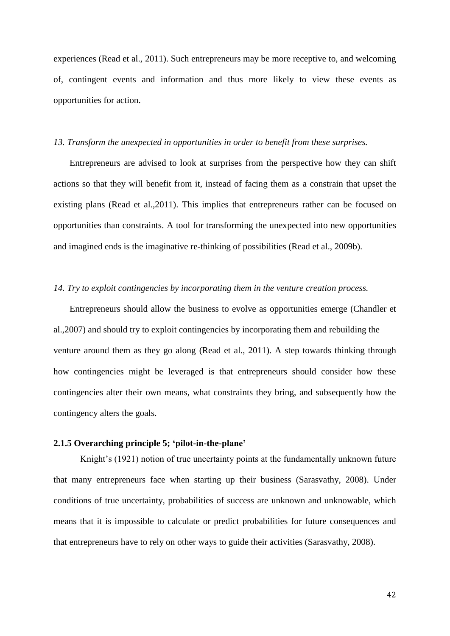experiences (Read et al., 2011). Such entrepreneurs may be more receptive to, and welcoming of, contingent events and information and thus more likely to view these events as opportunities for action.

#### *13. Transform the unexpected in opportunities in order to benefit from these surprises.*

Entrepreneurs are advised to look at surprises from the perspective how they can shift actions so that they will benefit from it, instead of facing them as a constrain that upset the existing plans (Read et al.,2011). This implies that entrepreneurs rather can be focused on opportunities than constraints. A tool for transforming the unexpected into new opportunities and imagined ends is the imaginative re-thinking of possibilities (Read et al., 2009b).

### *14. Try to exploit contingencies by incorporating them in the venture creation process.*

Entrepreneurs should allow the business to evolve as opportunities emerge (Chandler et al.,2007) and should try to exploit contingencies by incorporating them and rebuilding the venture around them as they go along (Read et al., 2011). A step towards thinking through how contingencies might be leveraged is that entrepreneurs should consider how these contingencies alter their own means, what constraints they bring, and subsequently how the contingency alters the goals.

## **2.1.5 Overarching principle 5; 'pilot-in-the-plane'**

Knight's (1921) notion of true uncertainty points at the fundamentally unknown future that many entrepreneurs face when starting up their business (Sarasvathy, 2008). Under conditions of true uncertainty, probabilities of success are unknown and unknowable, which means that it is impossible to calculate or predict probabilities for future consequences and that entrepreneurs have to rely on other ways to guide their activities (Sarasvathy, 2008).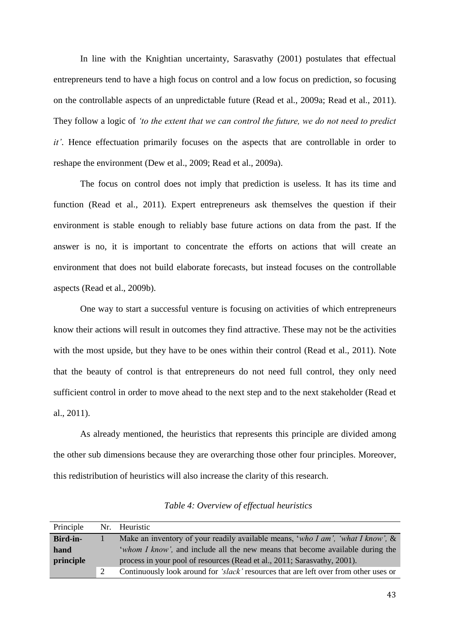In line with the Knightian uncertainty, Sarasvathy (2001) postulates that effectual entrepreneurs tend to have a high focus on control and a low focus on prediction, so focusing on the controllable aspects of an unpredictable future (Read et al., 2009a; Read et al., 2011). They follow a logic of *'to the extent that we can control the future, we do not need to predict it'*. Hence effectuation primarily focuses on the aspects that are controllable in order to reshape the environment (Dew et al., 2009; Read et al., 2009a).

The focus on control does not imply that prediction is useless. It has its time and function (Read et al., 2011). Expert entrepreneurs ask themselves the question if their environment is stable enough to reliably base future actions on data from the past. If the answer is no, it is important to concentrate the efforts on actions that will create an environment that does not build elaborate forecasts, but instead focuses on the controllable aspects (Read et al., 2009b).

One way to start a successful venture is focusing on activities of which entrepreneurs know their actions will result in outcomes they find attractive. These may not be the activities with the most upside, but they have to be ones within their control (Read et al., 2011). Note that the beauty of control is that entrepreneurs do not need full control, they only need sufficient control in order to move ahead to the next step and to the next stakeholder (Read et al., 2011).

As already mentioned, the heuristics that represents this principle are divided among the other sub dimensions because they are overarching those other four principles. Moreover, this redistribution of heuristics will also increase the clarity of this research.

| Principle | Nr. Heuristic                                                                        |
|-----------|--------------------------------------------------------------------------------------|
| Bird-in-  | Make an inventory of your readily available means, 'who I am', 'what I know', $\&$   |
| hand      | 'whom I know', and include all the new means that become available during the        |
| principle | process in your pool of resources (Read et al., 2011; Sarasvathy, 2001).             |
|           | Continuously look around for 'slack' resources that are left over from other uses or |

*Table 4: Overview of effectual heuristics*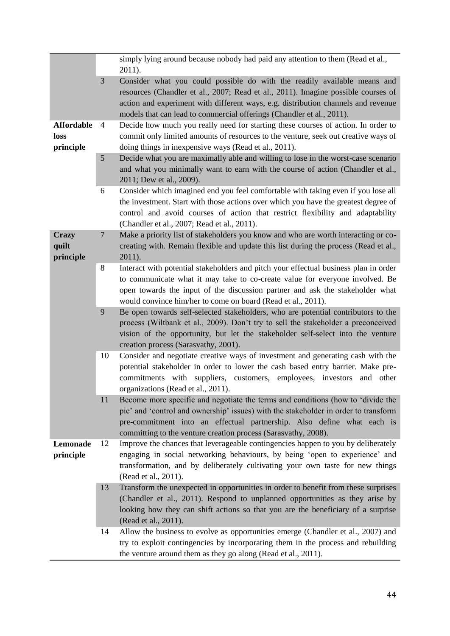|                                        |                | simply lying around because nobody had paid any attention to them (Read et al.,<br>2011).                                                                                                                                                                                                                                   |
|----------------------------------------|----------------|-----------------------------------------------------------------------------------------------------------------------------------------------------------------------------------------------------------------------------------------------------------------------------------------------------------------------------|
|                                        | 3              | Consider what you could possible do with the readily available means and<br>resources (Chandler et al., 2007; Read et al., 2011). Imagine possible courses of<br>action and experiment with different ways, e.g. distribution channels and revenue<br>models that can lead to commercial offerings (Chandler et al., 2011). |
| <b>Affordable</b><br>loss<br>principle | 4              | Decide how much you really need for starting these courses of action. In order to<br>commit only limited amounts of resources to the venture, seek out creative ways of<br>doing things in inexpensive ways (Read et al., 2011).                                                                                            |
|                                        | 5              | Decide what you are maximally able and willing to lose in the worst-case scenario<br>and what you minimally want to earn with the course of action (Chandler et al.,<br>2011; Dew et al., 2009).                                                                                                                            |
|                                        | 6              | Consider which imagined end you feel comfortable with taking even if you lose all<br>the investment. Start with those actions over which you have the greatest degree of<br>control and avoid courses of action that restrict flexibility and adaptability<br>(Chandler et al., 2007; Read et al., 2011).                   |
| <b>Crazy</b><br>quilt<br>principle     | $\overline{7}$ | Make a priority list of stakeholders you know and who are worth interacting or co-<br>creating with. Remain flexible and update this list during the process (Read et al.,<br>2011).                                                                                                                                        |
|                                        | 8              | Interact with potential stakeholders and pitch your effectual business plan in order<br>to communicate what it may take to co-create value for everyone involved. Be<br>open towards the input of the discussion partner and ask the stakeholder what<br>would convince him/her to come on board (Read et al., 2011).       |
|                                        | 9              | Be open towards self-selected stakeholders, who are potential contributors to the<br>process (Wiltbank et al., 2009). Don't try to sell the stakeholder a preconceived<br>vision of the opportunity, but let the stakeholder self-select into the venture<br>creation process (Sarasvathy, 2001).                           |
|                                        | 10             | Consider and negotiate creative ways of investment and generating cash with the<br>potential stakeholder in order to lower the cash based entry barrier. Make pre-<br>commitments with suppliers, customers, employees, investors and other<br>organizations (Read et al., 2011).                                           |
|                                        | 11             | Become more specific and negotiate the terms and conditions (how to 'divide the<br>pie' and 'control and ownership' issues) with the stakeholder in order to transform<br>pre-commitment into an effectual partnership. Also define what each is<br>committing to the venture creation process (Sarasvathy, 2008).          |
| Lemonade<br>principle                  | 12             | Improve the chances that leverageable contingencies happen to you by deliberately<br>engaging in social networking behaviours, by being 'open to experience' and<br>transformation, and by deliberately cultivating your own taste for new things<br>(Read et al., 2011).                                                   |
|                                        | 13             | Transform the unexpected in opportunities in order to benefit from these surprises<br>(Chandler et al., 2011). Respond to unplanned opportunities as they arise by<br>looking how they can shift actions so that you are the beneficiary of a surprise<br>(Read et al., 2011).                                              |
|                                        | 14             | Allow the business to evolve as opportunities emerge (Chandler et al., 2007) and<br>try to exploit contingencies by incorporating them in the process and rebuilding<br>the venture around them as they go along (Read et al., 2011).                                                                                       |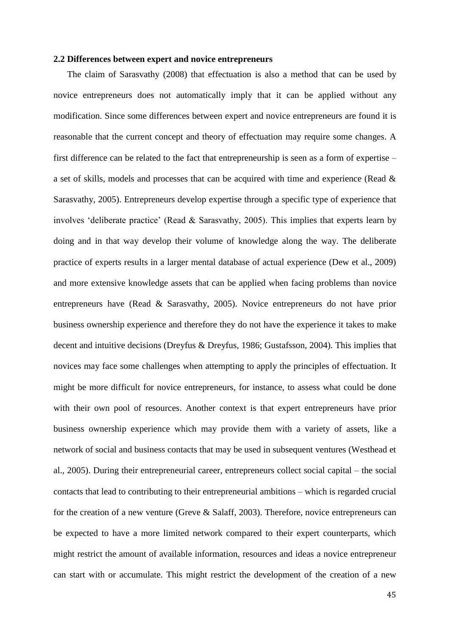#### **2.2 Differences between expert and novice entrepreneurs**

The claim of Sarasvathy (2008) that effectuation is also a method that can be used by novice entrepreneurs does not automatically imply that it can be applied without any modification. Since some differences between expert and novice entrepreneurs are found it is reasonable that the current concept and theory of effectuation may require some changes. A first difference can be related to the fact that entrepreneurship is seen as a form of expertise – a set of skills, models and processes that can be acquired with time and experience (Read & Sarasvathy, 2005). Entrepreneurs develop expertise through a specific type of experience that involves 'deliberate practice' (Read & Sarasvathy, 2005). This implies that experts learn by doing and in that way develop their volume of knowledge along the way. The deliberate practice of experts results in a larger mental database of actual experience (Dew et al., 2009) and more extensive knowledge assets that can be applied when facing problems than novice entrepreneurs have (Read & Sarasvathy, 2005). Novice entrepreneurs do not have prior business ownership experience and therefore they do not have the experience it takes to make decent and intuitive decisions (Dreyfus & Dreyfus, 1986; Gustafsson, 2004). This implies that novices may face some challenges when attempting to apply the principles of effectuation. It might be more difficult for novice entrepreneurs, for instance, to assess what could be done with their own pool of resources. Another context is that expert entrepreneurs have prior business ownership experience which may provide them with a variety of assets, like a network of social and business contacts that may be used in subsequent ventures (Westhead et al., 2005). During their entrepreneurial career, entrepreneurs collect social capital – the social contacts that lead to contributing to their entrepreneurial ambitions – which is regarded crucial for the creation of a new venture (Greve & Salaff, 2003). Therefore, novice entrepreneurs can be expected to have a more limited network compared to their expert counterparts, which might restrict the amount of available information, resources and ideas a novice entrepreneur can start with or accumulate. This might restrict the development of the creation of a new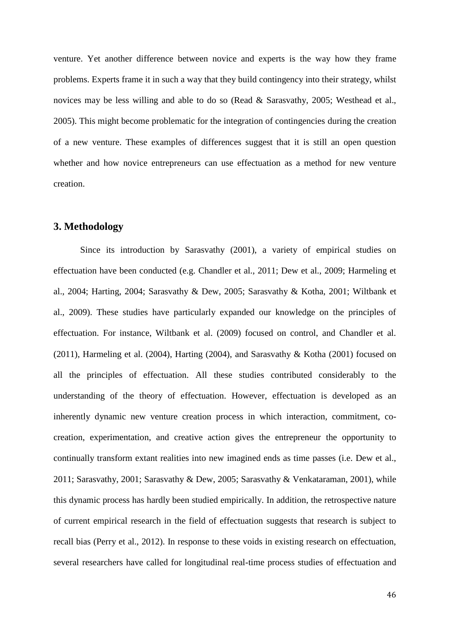venture. Yet another difference between novice and experts is the way how they frame problems. Experts frame it in such a way that they build contingency into their strategy, whilst novices may be less willing and able to do so (Read & Sarasvathy, 2005; Westhead et al., 2005). This might become problematic for the integration of contingencies during the creation of a new venture. These examples of differences suggest that it is still an open question whether and how novice entrepreneurs can use effectuation as a method for new venture creation.

## **3. Methodology**

Since its introduction by Sarasvathy (2001), a variety of empirical studies on effectuation have been conducted (e.g. Chandler et al., 2011; Dew et al., 2009; Harmeling et al., 2004; Harting, 2004; Sarasvathy & Dew, 2005; Sarasvathy & Kotha, 2001; Wiltbank et al., 2009). These studies have particularly expanded our knowledge on the principles of effectuation. For instance, Wiltbank et al. (2009) focused on control, and Chandler et al. (2011), Harmeling et al. (2004), Harting (2004), and Sarasvathy & Kotha (2001) focused on all the principles of effectuation. All these studies contributed considerably to the understanding of the theory of effectuation. However, effectuation is developed as an inherently dynamic new venture creation process in which interaction, commitment, cocreation, experimentation, and creative action gives the entrepreneur the opportunity to continually transform extant realities into new imagined ends as time passes (i.e. Dew et al., 2011; Sarasvathy, 2001; Sarasvathy & Dew, 2005; Sarasvathy & Venkataraman, 2001), while this dynamic process has hardly been studied empirically. In addition, the retrospective nature of current empirical research in the field of effectuation suggests that research is subject to recall bias (Perry et al., 2012). In response to these voids in existing research on effectuation, several researchers have called for longitudinal real-time process studies of effectuation and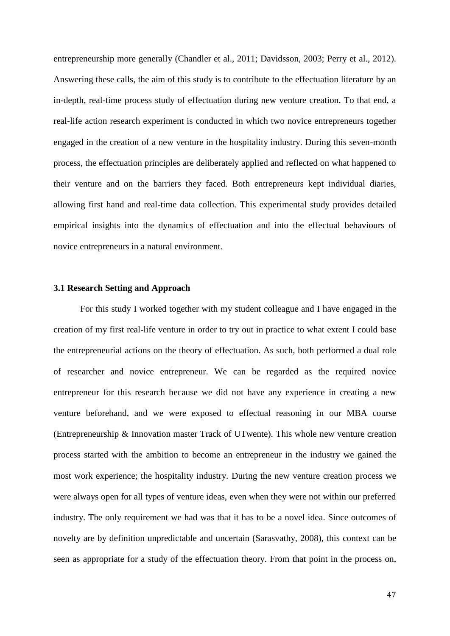entrepreneurship more generally (Chandler et al., 2011; Davidsson, 2003; Perry et al., 2012). Answering these calls, the aim of this study is to contribute to the effectuation literature by an in-depth, real-time process study of effectuation during new venture creation. To that end, a real-life action research experiment is conducted in which two novice entrepreneurs together engaged in the creation of a new venture in the hospitality industry. During this seven-month process, the effectuation principles are deliberately applied and reflected on what happened to their venture and on the barriers they faced. Both entrepreneurs kept individual diaries, allowing first hand and real-time data collection. This experimental study provides detailed empirical insights into the dynamics of effectuation and into the effectual behaviours of novice entrepreneurs in a natural environment.

### **3.1 Research Setting and Approach**

For this study I worked together with my student colleague and I have engaged in the creation of my first real-life venture in order to try out in practice to what extent I could base the entrepreneurial actions on the theory of effectuation. As such, both performed a dual role of researcher and novice entrepreneur. We can be regarded as the required novice entrepreneur for this research because we did not have any experience in creating a new venture beforehand, and we were exposed to effectual reasoning in our MBA course (Entrepreneurship & Innovation master Track of UTwente). This whole new venture creation process started with the ambition to become an entrepreneur in the industry we gained the most work experience; the hospitality industry. During the new venture creation process we were always open for all types of venture ideas, even when they were not within our preferred industry. The only requirement we had was that it has to be a novel idea. Since outcomes of novelty are by definition unpredictable and uncertain (Sarasvathy, 2008), this context can be seen as appropriate for a study of the effectuation theory. From that point in the process on,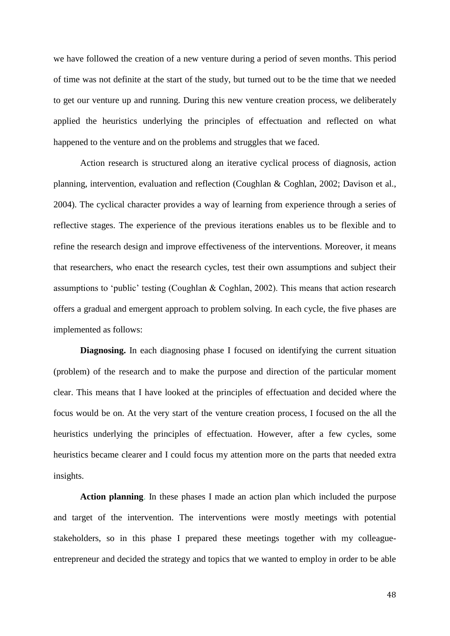we have followed the creation of a new venture during a period of seven months. This period of time was not definite at the start of the study, but turned out to be the time that we needed to get our venture up and running. During this new venture creation process, we deliberately applied the heuristics underlying the principles of effectuation and reflected on what happened to the venture and on the problems and struggles that we faced.

Action research is structured along an iterative cyclical process of diagnosis, action planning, intervention, evaluation and reflection (Coughlan & Coghlan, 2002; Davison et al., 2004). The cyclical character provides a way of learning from experience through a series of reflective stages. The experience of the previous iterations enables us to be flexible and to refine the research design and improve effectiveness of the interventions. Moreover, it means that researchers, who enact the research cycles, test their own assumptions and subject their assumptions to 'public' testing (Coughlan & Coghlan, 2002). This means that action research offers a gradual and emergent approach to problem solving. In each cycle, the five phases are implemented as follows:

**Diagnosing.** In each diagnosing phase I focused on identifying the current situation (problem) of the research and to make the purpose and direction of the particular moment clear. This means that I have looked at the principles of effectuation and decided where the focus would be on. At the very start of the venture creation process, I focused on the all the heuristics underlying the principles of effectuation. However, after a few cycles, some heuristics became clearer and I could focus my attention more on the parts that needed extra insights.

**Action planning**. In these phases I made an action plan which included the purpose and target of the intervention. The interventions were mostly meetings with potential stakeholders, so in this phase I prepared these meetings together with my colleagueentrepreneur and decided the strategy and topics that we wanted to employ in order to be able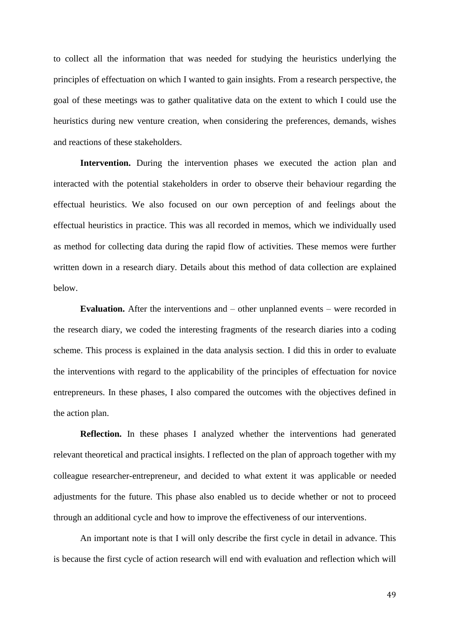to collect all the information that was needed for studying the heuristics underlying the principles of effectuation on which I wanted to gain insights. From a research perspective, the goal of these meetings was to gather qualitative data on the extent to which I could use the heuristics during new venture creation, when considering the preferences, demands, wishes and reactions of these stakeholders.

**Intervention.** During the intervention phases we executed the action plan and interacted with the potential stakeholders in order to observe their behaviour regarding the effectual heuristics. We also focused on our own perception of and feelings about the effectual heuristics in practice. This was all recorded in memos, which we individually used as method for collecting data during the rapid flow of activities. These memos were further written down in a research diary. Details about this method of data collection are explained below.

**Evaluation.** After the interventions and – other unplanned events – were recorded in the research diary, we coded the interesting fragments of the research diaries into a coding scheme. This process is explained in the data analysis section. I did this in order to evaluate the interventions with regard to the applicability of the principles of effectuation for novice entrepreneurs. In these phases, I also compared the outcomes with the objectives defined in the action plan.

**Reflection.** In these phases I analyzed whether the interventions had generated relevant theoretical and practical insights. I reflected on the plan of approach together with my colleague researcher-entrepreneur, and decided to what extent it was applicable or needed adjustments for the future. This phase also enabled us to decide whether or not to proceed through an additional cycle and how to improve the effectiveness of our interventions.

An important note is that I will only describe the first cycle in detail in advance. This is because the first cycle of action research will end with evaluation and reflection which will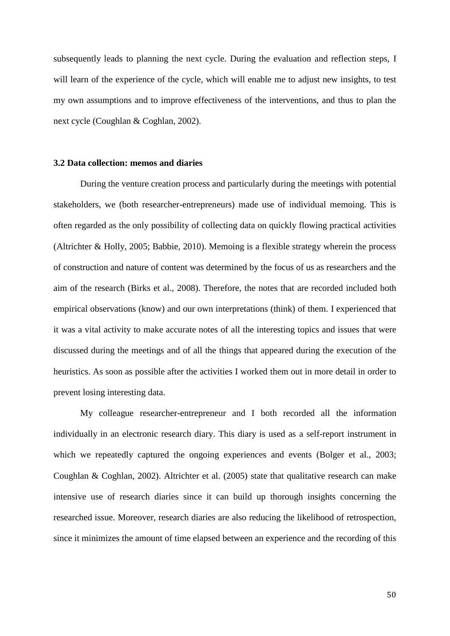subsequently leads to planning the next cycle. During the evaluation and reflection steps, I will learn of the experience of the cycle, which will enable me to adjust new insights, to test my own assumptions and to improve effectiveness of the interventions, and thus to plan the next cycle (Coughlan & Coghlan, 2002).

### **3.2 Data collection: memos and diaries**

During the venture creation process and particularly during the meetings with potential stakeholders, we (both researcher-entrepreneurs) made use of individual memoing. This is often regarded as the only possibility of collecting data on quickly flowing practical activities (Altrichter & Holly, 2005; Babbie, 2010). Memoing is a flexible strategy wherein the process of construction and nature of content was determined by the focus of us as researchers and the aim of the research (Birks et al., 2008). Therefore, the notes that are recorded included both empirical observations (know) and our own interpretations (think) of them. I experienced that it was a vital activity to make accurate notes of all the interesting topics and issues that were discussed during the meetings and of all the things that appeared during the execution of the heuristics. As soon as possible after the activities I worked them out in more detail in order to prevent losing interesting data.

My colleague researcher-entrepreneur and I both recorded all the information individually in an electronic research diary. This diary is used as a self-report instrument in which we repeatedly captured the ongoing experiences and events (Bolger et al., 2003; Coughlan & Coghlan, 2002). Altrichter et al. (2005) state that qualitative research can make intensive use of research diaries since it can build up thorough insights concerning the researched issue. Moreover, research diaries are also reducing the likelihood of retrospection, since it minimizes the amount of time elapsed between an experience and the recording of this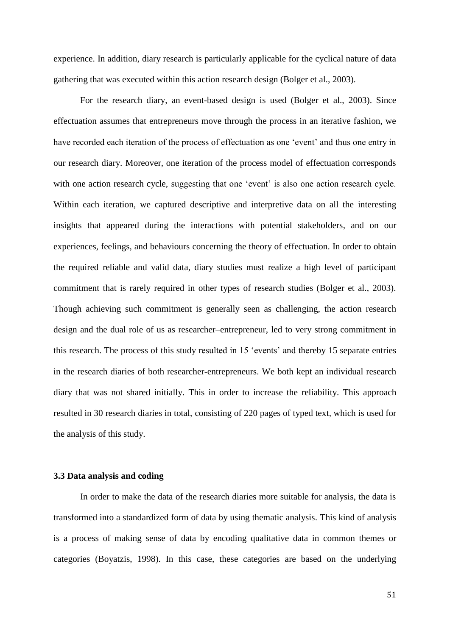experience. In addition, diary research is particularly applicable for the cyclical nature of data gathering that was executed within this action research design (Bolger et al., 2003).

For the research diary, an event-based design is used (Bolger et al., 2003). Since effectuation assumes that entrepreneurs move through the process in an iterative fashion, we have recorded each iteration of the process of effectuation as one 'event' and thus one entry in our research diary. Moreover, one iteration of the process model of effectuation corresponds with one action research cycle, suggesting that one 'event' is also one action research cycle. Within each iteration, we captured descriptive and interpretive data on all the interesting insights that appeared during the interactions with potential stakeholders, and on our experiences, feelings, and behaviours concerning the theory of effectuation. In order to obtain the required reliable and valid data, diary studies must realize a high level of participant commitment that is rarely required in other types of research studies (Bolger et al., 2003). Though achieving such commitment is generally seen as challenging, the action research design and the dual role of us as researcher–entrepreneur, led to very strong commitment in this research. The process of this study resulted in 15 'events' and thereby 15 separate entries in the research diaries of both researcher-entrepreneurs. We both kept an individual research diary that was not shared initially. This in order to increase the reliability. This approach resulted in 30 research diaries in total, consisting of 220 pages of typed text, which is used for the analysis of this study.

### **3.3 Data analysis and coding**

In order to make the data of the research diaries more suitable for analysis, the data is transformed into a standardized form of data by using thematic analysis. This kind of analysis is a process of making sense of data by encoding qualitative data in common themes or categories (Boyatzis, 1998). In this case, these categories are based on the underlying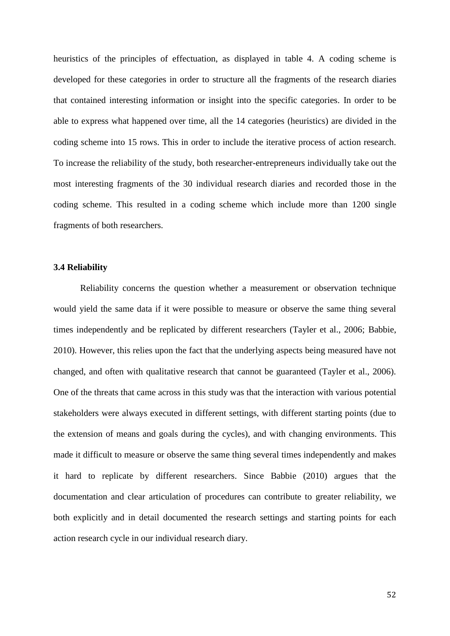heuristics of the principles of effectuation, as displayed in table 4. A coding scheme is developed for these categories in order to structure all the fragments of the research diaries that contained interesting information or insight into the specific categories. In order to be able to express what happened over time, all the 14 categories (heuristics) are divided in the coding scheme into 15 rows. This in order to include the iterative process of action research. To increase the reliability of the study, both researcher-entrepreneurs individually take out the most interesting fragments of the 30 individual research diaries and recorded those in the coding scheme. This resulted in a coding scheme which include more than 1200 single fragments of both researchers.

#### **3.4 Reliability**

Reliability concerns the question whether a measurement or observation technique would yield the same data if it were possible to measure or observe the same thing several times independently and be replicated by different researchers (Tayler et al., 2006; Babbie, 2010). However, this relies upon the fact that the underlying aspects being measured have not changed, and often with qualitative research that cannot be guaranteed (Tayler et al., 2006). One of the threats that came across in this study was that the interaction with various potential stakeholders were always executed in different settings, with different starting points (due to the extension of means and goals during the cycles), and with changing environments. This made it difficult to measure or observe the same thing several times independently and makes it hard to replicate by different researchers. Since Babbie (2010) argues that the documentation and clear articulation of procedures can contribute to greater reliability, we both explicitly and in detail documented the research settings and starting points for each action research cycle in our individual research diary.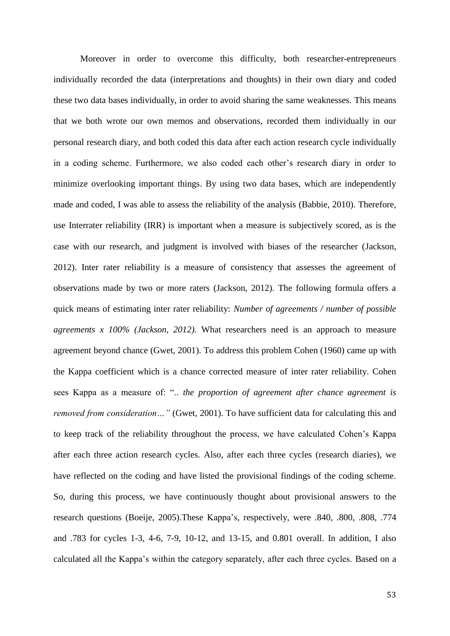Moreover in order to overcome this difficulty, both researcher-entrepreneurs individually recorded the data (interpretations and thoughts) in their own diary and coded these two data bases individually, in order to avoid sharing the same weaknesses. This means that we both wrote our own memos and observations, recorded them individually in our personal research diary, and both coded this data after each action research cycle individually in a coding scheme. Furthermore, we also coded each other's research diary in order to minimize overlooking important things. By using two data bases, which are independently made and coded, I was able to assess the reliability of the analysis (Babbie, 2010). Therefore, use Interrater reliability (IRR) is important when a measure is subjectively scored, as is the case with our research, and judgment is involved with biases of the researcher (Jackson, 2012). Inter rater reliability is a measure of consistency that assesses the agreement of observations made by two or more raters (Jackson, 2012). The following formula offers a quick means of estimating inter rater reliability: *Number of agreements / number of possible agreements x 100% (Jackson, 2012).* What researchers need is an approach to measure agreement beyond chance (Gwet, 2001). To address this problem Cohen (1960) came up with the Kappa coefficient which is a chance corrected measure of inter rater reliability. Cohen sees Kappa as a measure of: ".. *the proportion of agreement after chance agreement is removed from consideration...*" (Gwet, 2001). To have sufficient data for calculating this and to keep track of the reliability throughout the process, we have calculated Cohen's Kappa after each three action research cycles. Also, after each three cycles (research diaries), we have reflected on the coding and have listed the provisional findings of the coding scheme. So, during this process, we have continuously thought about provisional answers to the research questions (Boeije, 2005).These Kappa's, respectively, were .840, .800, .808, .774 and .783 for cycles 1-3, 4-6, 7-9, 10-12, and 13-15, and 0.801 overall. In addition, I also calculated all the Kappa's within the category separately, after each three cycles. Based on a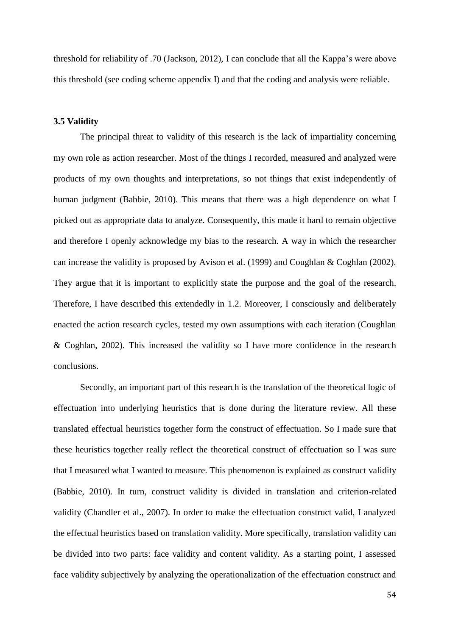threshold for reliability of .70 (Jackson, 2012), I can conclude that all the Kappa's were above this threshold (see coding scheme appendix I) and that the coding and analysis were reliable.

## **3.5 Validity**

The principal threat to validity of this research is the lack of impartiality concerning my own role as action researcher. Most of the things I recorded, measured and analyzed were products of my own thoughts and interpretations, so not things that exist independently of human judgment (Babbie, 2010). This means that there was a high dependence on what I picked out as appropriate data to analyze. Consequently, this made it hard to remain objective and therefore I openly acknowledge my bias to the research. A way in which the researcher can increase the validity is proposed by Avison et al. (1999) and Coughlan & Coghlan (2002). They argue that it is important to explicitly state the purpose and the goal of the research. Therefore, I have described this extendedly in 1.2. Moreover, I consciously and deliberately enacted the action research cycles, tested my own assumptions with each iteration (Coughlan & Coghlan, 2002). This increased the validity so I have more confidence in the research conclusions.

Secondly, an important part of this research is the translation of the theoretical logic of effectuation into underlying heuristics that is done during the literature review. All these translated effectual heuristics together form the construct of effectuation. So I made sure that these heuristics together really reflect the theoretical construct of effectuation so I was sure that I measured what I wanted to measure. This phenomenon is explained as construct validity (Babbie, 2010). In turn, construct validity is divided in translation and criterion-related validity (Chandler et al., 2007). In order to make the effectuation construct valid, I analyzed the effectual heuristics based on translation validity. More specifically, translation validity can be divided into two parts: face validity and content validity. As a starting point, I assessed face validity subjectively by analyzing the operationalization of the effectuation construct and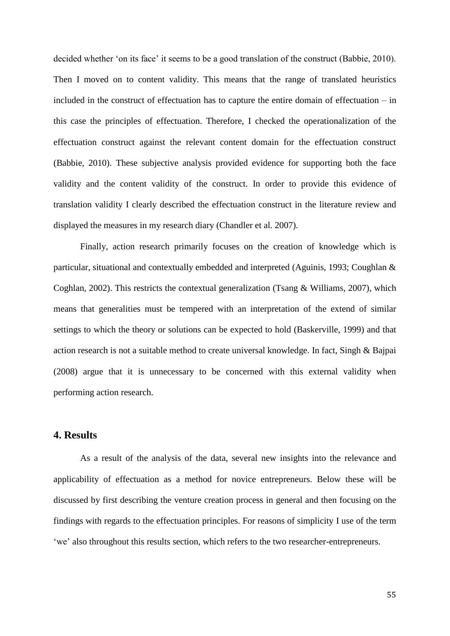decided whether 'on its face' it seems to be a good translation of the construct (Babbie, 2010). Then I moved on to content validity. This means that the range of translated heuristics included in the construct of effectuation has to capture the entire domain of effectuation – in this case the principles of effectuation. Therefore, I checked the operationalization of the effectuation construct against the relevant content domain for the effectuation construct (Babbie, 2010). These subjective analysis provided evidence for supporting both the face validity and the content validity of the construct. In order to provide this evidence of translation validity I clearly described the effectuation construct in the literature review and displayed the measures in my research diary (Chandler et al. 2007).

Finally, action research primarily focuses on the creation of knowledge which is particular, situational and contextually embedded and interpreted (Aguinis, 1993; Coughlan & Coghlan, 2002). This restricts the contextual generalization (Tsang & Williams, 2007), which means that generalities must be tempered with an interpretation of the extend of similar settings to which the theory or solutions can be expected to hold (Baskerville, 1999) and that action research is not a suitable method to create universal knowledge. In fact, Singh & Bajpai (2008) argue that it is unnecessary to be concerned with this external validity when performing action research.

# **4. Results**

As a result of the analysis of the data, several new insights into the relevance and applicability of effectuation as a method for novice entrepreneurs. Below these will be discussed by first describing the venture creation process in general and then focusing on the findings with regards to the effectuation principles. For reasons of simplicity I use of the term 'we' also throughout this results section, which refers to the two researcher-entrepreneurs.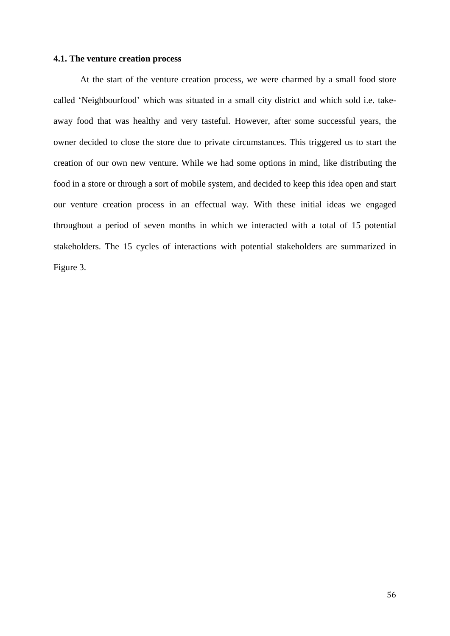## **4.1. The venture creation process**

At the start of the venture creation process, we were charmed by a small food store called 'Neighbourfood' which was situated in a small city district and which sold i.e. takeaway food that was healthy and very tasteful. However, after some successful years, the owner decided to close the store due to private circumstances. This triggered us to start the creation of our own new venture. While we had some options in mind, like distributing the food in a store or through a sort of mobile system, and decided to keep this idea open and start our venture creation process in an effectual way. With these initial ideas we engaged throughout a period of seven months in which we interacted with a total of 15 potential stakeholders. The 15 cycles of interactions with potential stakeholders are summarized in Figure 3.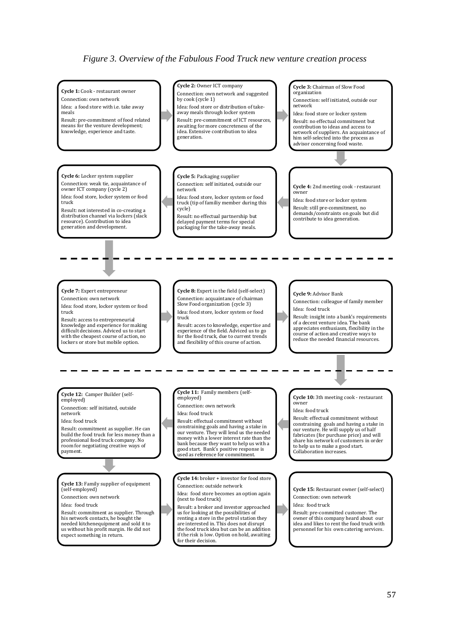## *Figure 3. Overview of the Fabulous Food Truck new venture creation process*

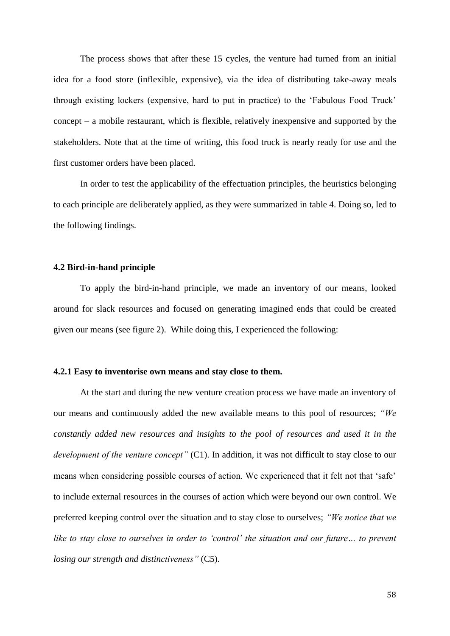The process shows that after these 15 cycles, the venture had turned from an initial idea for a food store (inflexible, expensive), via the idea of distributing take-away meals through existing lockers (expensive, hard to put in practice) to the 'Fabulous Food Truck' concept – a mobile restaurant, which is flexible, relatively inexpensive and supported by the stakeholders. Note that at the time of writing, this food truck is nearly ready for use and the first customer orders have been placed.

In order to test the applicability of the effectuation principles, the heuristics belonging to each principle are deliberately applied, as they were summarized in table 4. Doing so, led to the following findings.

#### **4.2 Bird-in-hand principle**

To apply the bird-in-hand principle, we made an inventory of our means, looked around for slack resources and focused on generating imagined ends that could be created given our means (see figure 2). While doing this, I experienced the following:

#### **4.2.1 Easy to inventorise own means and stay close to them.**

At the start and during the new venture creation process we have made an inventory of our means and continuously added the new available means to this pool of resources; *"We constantly added new resources and insights to the pool of resources and used it in the development of the venture concept"* (C1). In addition, it was not difficult to stay close to our means when considering possible courses of action. We experienced that it felt not that 'safe' to include external resources in the courses of action which were beyond our own control. We preferred keeping control over the situation and to stay close to ourselves; *"We notice that we*  like to stay close to ourselves in order to 'control' the situation and our future... to prevent *losing our strength and distinctiveness"* (C5).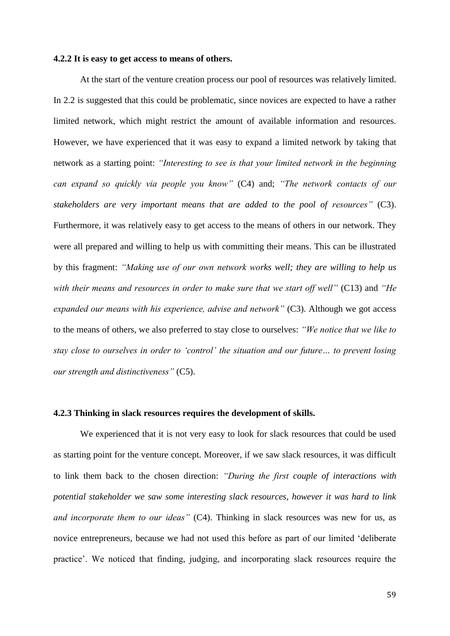#### **4.2.2 It is easy to get access to means of others.**

At the start of the venture creation process our pool of resources was relatively limited. In 2.2 is suggested that this could be problematic, since novices are expected to have a rather limited network, which might restrict the amount of available information and resources. However, we have experienced that it was easy to expand a limited network by taking that network as a starting point: *"Interesting to see is that your limited network in the beginning can expand so quickly via people you know"* (C4) and; *"The network contacts of our stakeholders are very important means that are added to the pool of resources"* (C3). Furthermore, it was relatively easy to get access to the means of others in our network. They were all prepared and willing to help us with committing their means. This can be illustrated by this fragment: *"Making use of our own network works well; they are willing to help us with their means and resources in order to make sure that we start off well"* (C13) and *"He expanded our means with his experience, advise and network"* (C3). Although we got access to the means of others, we also preferred to stay close to ourselves: *"We notice that we like to stay close to ourselves in order to 'control' the situation and our future… to prevent losing our strength and distinctiveness"* (C5).

#### **4.2.3 Thinking in slack resources requires the development of skills.**

We experienced that it is not very easy to look for slack resources that could be used as starting point for the venture concept. Moreover, if we saw slack resources, it was difficult to link them back to the chosen direction: *"During the first couple of interactions with potential stakeholder we saw some interesting slack resources, however it was hard to link and incorporate them to our ideas"* (C4). Thinking in slack resources was new for us, as novice entrepreneurs, because we had not used this before as part of our limited 'deliberate practice'. We noticed that finding, judging, and incorporating slack resources require the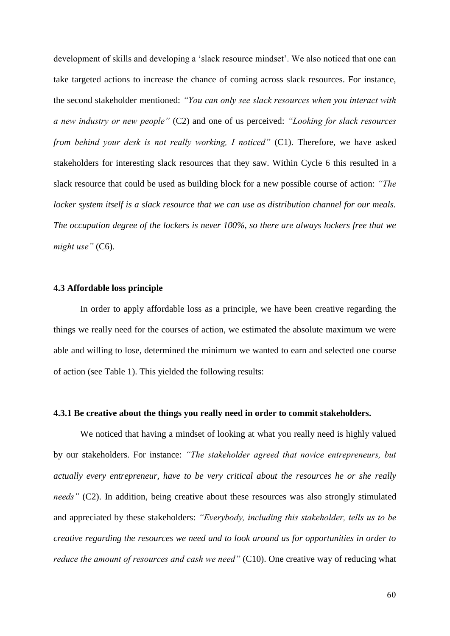development of skills and developing a 'slack resource mindset'. We also noticed that one can take targeted actions to increase the chance of coming across slack resources. For instance, the second stakeholder mentioned: *"You can only see slack resources when you interact with a new industry or new people"* (C2) and one of us perceived: *"Looking for slack resources from behind your desk is not really working, I noticed"* (C1). Therefore, we have asked stakeholders for interesting slack resources that they saw. Within Cycle 6 this resulted in a slack resource that could be used as building block for a new possible course of action: *"The locker system itself is a slack resource that we can use as distribution channel for our meals. The occupation degree of the lockers is never 100%, so there are always lockers free that we might use"* (C6).

#### **4.3 Affordable loss principle**

In order to apply affordable loss as a principle, we have been creative regarding the things we really need for the courses of action, we estimated the absolute maximum we were able and willing to lose, determined the minimum we wanted to earn and selected one course of action (see Table 1). This yielded the following results:

#### **4.3.1 Be creative about the things you really need in order to commit stakeholders.**

We noticed that having a mindset of looking at what you really need is highly valued by our stakeholders. For instance: *"The stakeholder agreed that novice entrepreneurs, but actually every entrepreneur, have to be very critical about the resources he or she really needs"* (C2). In addition, being creative about these resources was also strongly stimulated and appreciated by these stakeholders: *"Everybody, including this stakeholder, tells us to be creative regarding the resources we need and to look around us for opportunities in order to reduce the amount of resources and cash we need*" (C10). One creative way of reducing what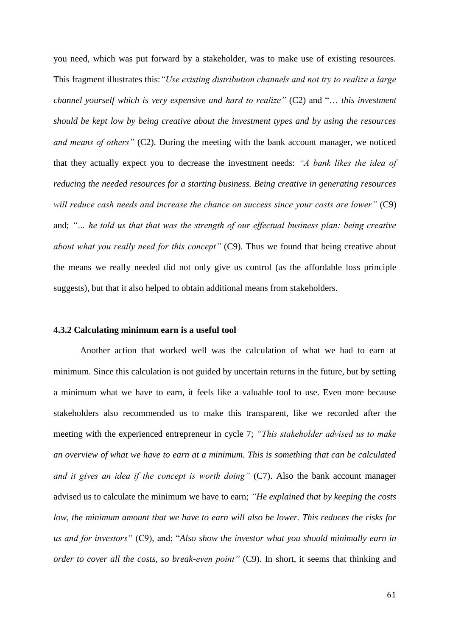you need, which was put forward by a stakeholder, was to make use of existing resources. This fragment illustrates this:*"Use existing distribution channels and not try to realize a large channel yourself which is very expensive and hard to realize"* (C2) and "… *this investment should be kept low by being creative about the investment types and by using the resources and means of others"* (C2). During the meeting with the bank account manager, we noticed that they actually expect you to decrease the investment needs: *"A bank likes the idea of reducing the needed resources for a starting business. Being creative in generating resources will reduce cash needs and increase the chance on success since your costs are lower"* (C9) and; *"… he told us that that was the strength of our effectual business plan: being creative about what you really need for this concept"* (C9). Thus we found that being creative about the means we really needed did not only give us control (as the affordable loss principle suggests), but that it also helped to obtain additional means from stakeholders.

#### **4.3.2 Calculating minimum earn is a useful tool**

Another action that worked well was the calculation of what we had to earn at minimum. Since this calculation is not guided by uncertain returns in the future, but by setting a minimum what we have to earn, it feels like a valuable tool to use. Even more because stakeholders also recommended us to make this transparent, like we recorded after the meeting with the experienced entrepreneur in cycle 7; *"This stakeholder advised us to make an overview of what we have to earn at a minimum. This is something that can be calculated and it gives an idea if the concept is worth doing"* (C7). Also the bank account manager advised us to calculate the minimum we have to earn; *"He explained that by keeping the costs low, the minimum amount that we have to earn will also be lower. This reduces the risks for us and for investors"* (C9), and; "*Also show the investor what you should minimally earn in order to cover all the costs, so break-even point*" (C9). In short, it seems that thinking and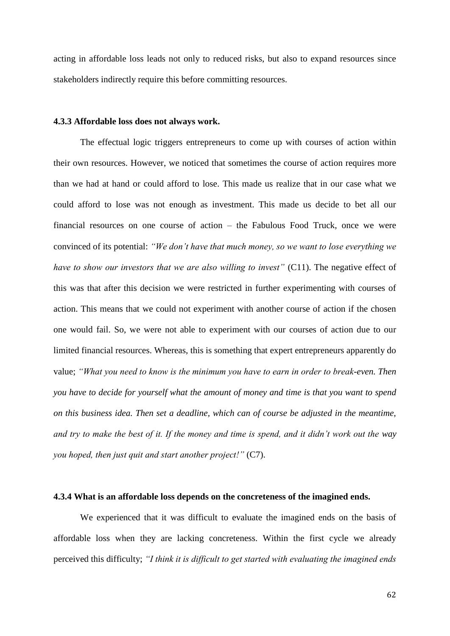acting in affordable loss leads not only to reduced risks, but also to expand resources since stakeholders indirectly require this before committing resources.

#### **4.3.3 Affordable loss does not always work.**

The effectual logic triggers entrepreneurs to come up with courses of action within their own resources. However, we noticed that sometimes the course of action requires more than we had at hand or could afford to lose. This made us realize that in our case what we could afford to lose was not enough as investment. This made us decide to bet all our financial resources on one course of action – the Fabulous Food Truck, once we were convinced of its potential: *"We don't have that much money, so we want to lose everything we have to show our investors that we are also willing to invest*" (C11). The negative effect of this was that after this decision we were restricted in further experimenting with courses of action. This means that we could not experiment with another course of action if the chosen one would fail. So, we were not able to experiment with our courses of action due to our limited financial resources. Whereas, this is something that expert entrepreneurs apparently do value; *"What you need to know is the minimum you have to earn in order to break-even. Then you have to decide for yourself what the amount of money and time is that you want to spend on this business idea. Then set a deadline, which can of course be adjusted in the meantime, and try to make the best of it. If the money and time is spend, and it didn't work out the way you hoped, then just quit and start another project!"* (C7).

#### **4.3.4 What is an affordable loss depends on the concreteness of the imagined ends.**

We experienced that it was difficult to evaluate the imagined ends on the basis of affordable loss when they are lacking concreteness. Within the first cycle we already perceived this difficulty; *"I think it is difficult to get started with evaluating the imagined ends*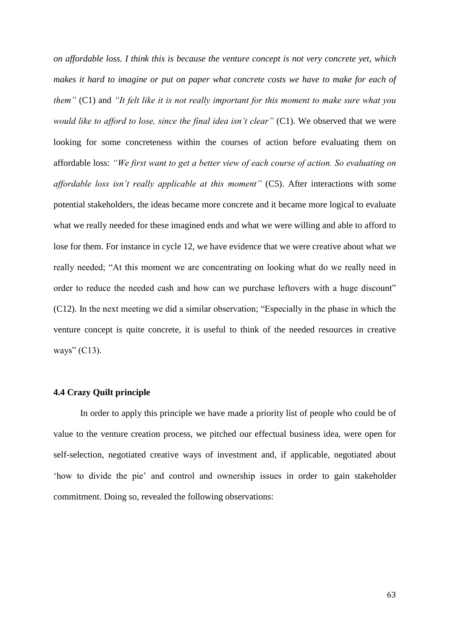*on affordable loss. I think this is because the venture concept is not very concrete yet, which makes it hard to imagine or put on paper what concrete costs we have to make for each of them"* (C1) and *"It felt like it is not really important for this moment to make sure what you would like to afford to lose, since the final idea isn't clear"* (C1). We observed that we were looking for some concreteness within the courses of action before evaluating them on affordable loss: *"We first want to get a better view of each course of action. So evaluating on affordable loss isn't really applicable at this moment"* (C5). After interactions with some potential stakeholders, the ideas became more concrete and it became more logical to evaluate what we really needed for these imagined ends and what we were willing and able to afford to lose for them. For instance in cycle 12, we have evidence that we were creative about what we really needed; "At this moment we are concentrating on looking what do we really need in order to reduce the needed cash and how can we purchase leftovers with a huge discount" (C12). In the next meeting we did a similar observation; "Especially in the phase in which the venture concept is quite concrete, it is useful to think of the needed resources in creative ways" (C13).

#### **4.4 Crazy Quilt principle**

In order to apply this principle we have made a priority list of people who could be of value to the venture creation process, we pitched our effectual business idea, were open for self-selection, negotiated creative ways of investment and, if applicable, negotiated about 'how to divide the pie' and control and ownership issues in order to gain stakeholder commitment. Doing so, revealed the following observations: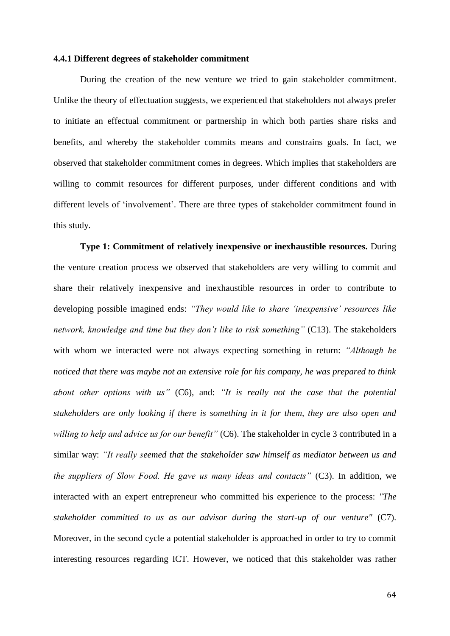#### **4.4.1 Different degrees of stakeholder commitment**

During the creation of the new venture we tried to gain stakeholder commitment. Unlike the theory of effectuation suggests, we experienced that stakeholders not always prefer to initiate an effectual commitment or partnership in which both parties share risks and benefits, and whereby the stakeholder commits means and constrains goals. In fact, we observed that stakeholder commitment comes in degrees. Which implies that stakeholders are willing to commit resources for different purposes, under different conditions and with different levels of 'involvement'. There are three types of stakeholder commitment found in this study.

**Type 1: Commitment of relatively inexpensive or inexhaustible resources.** During the venture creation process we observed that stakeholders are very willing to commit and share their relatively inexpensive and inexhaustible resources in order to contribute to developing possible imagined ends: *"They would like to share 'inexpensive' resources like network, knowledge and time but they don't like to risk something"* (C13). The stakeholders with whom we interacted were not always expecting something in return: *"Although he noticed that there was maybe not an extensive role for his company, he was prepared to think about other options with us"* (C6), and: *"It is really not the case that the potential stakeholders are only looking if there is something in it for them, they are also open and willing to help and advice us for our benefit"* (C6). The stakeholder in cycle 3 contributed in a similar way: *"It really seemed that the stakeholder saw himself as mediator between us and the suppliers of Slow Food. He gave us many ideas and contacts"* (C3). In addition, we interacted with an expert entrepreneur who committed his experience to the process: *"The stakeholder committed to us as our advisor during the start-up of our venture"* (C7). Moreover, in the second cycle a potential stakeholder is approached in order to try to commit interesting resources regarding ICT. However, we noticed that this stakeholder was rather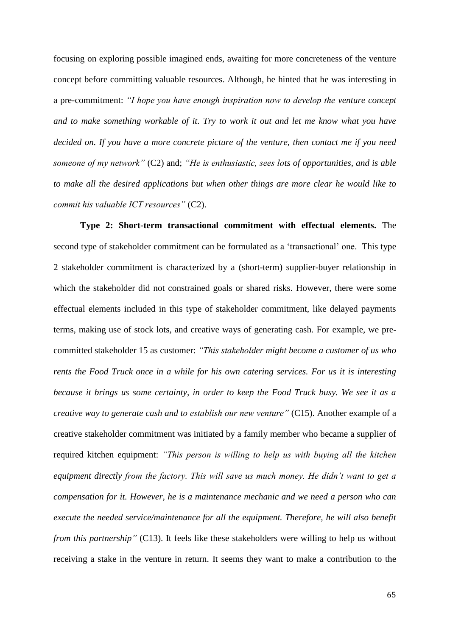focusing on exploring possible imagined ends, awaiting for more concreteness of the venture concept before committing valuable resources. Although, he hinted that he was interesting in a pre-commitment: *"I hope you have enough inspiration now to develop the venture concept and to make something workable of it. Try to work it out and let me know what you have decided on. If you have a more concrete picture of the venture, then contact me if you need someone of my network"* (C2) and; *"He is enthusiastic, sees lots of opportunities, and is able to make all the desired applications but when other things are more clear he would like to commit his valuable ICT resources"* (C2).

**Type 2: Short-term transactional commitment with effectual elements.** The second type of stakeholder commitment can be formulated as a 'transactional' one. This type 2 stakeholder commitment is characterized by a (short-term) supplier-buyer relationship in which the stakeholder did not constrained goals or shared risks. However, there were some effectual elements included in this type of stakeholder commitment, like delayed payments terms, making use of stock lots, and creative ways of generating cash. For example, we precommitted stakeholder 15 as customer: *"This stakeholder might become a customer of us who rents the Food Truck once in a while for his own catering services. For us it is interesting because it brings us some certainty, in order to keep the Food Truck busy. We see it as a creative way to generate cash and to establish our new venture"* (C15). Another example of a creative stakeholder commitment was initiated by a family member who became a supplier of required kitchen equipment: *"This person is willing to help us with buying all the kitchen equipment directly from the factory. This will save us much money. He didn't want to get a compensation for it. However, he is a maintenance mechanic and we need a person who can execute the needed service/maintenance for all the equipment. Therefore, he will also benefit from this partnership*" (C13). It feels like these stakeholders were willing to help us without receiving a stake in the venture in return. It seems they want to make a contribution to the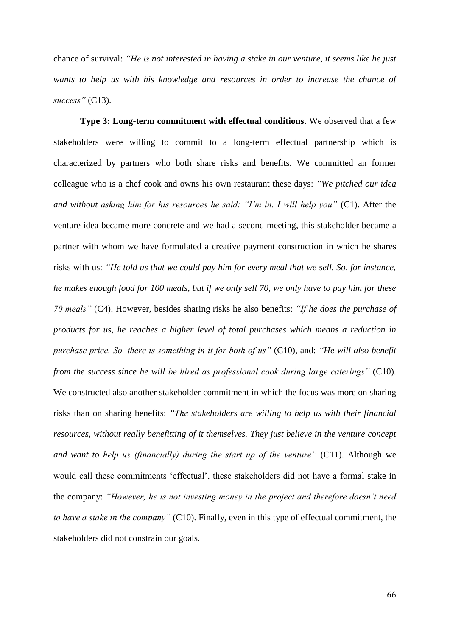chance of survival: *"He is not interested in having a stake in our venture, it seems like he just wants to help us with his knowledge and resources in order to increase the chance of success"* (C13).

**Type 3: Long-term commitment with effectual conditions.** We observed that a few stakeholders were willing to commit to a long-term effectual partnership which is characterized by partners who both share risks and benefits. We committed an former colleague who is a chef cook and owns his own restaurant these days: *"We pitched our idea and without asking him for his resources he said: "I'm in. I will help you"* (C1). After the venture idea became more concrete and we had a second meeting, this stakeholder became a partner with whom we have formulated a creative payment construction in which he shares risks with us: *"He told us that we could pay him for every meal that we sell. So, for instance, he makes enough food for 100 meals, but if we only sell 70, we only have to pay him for these 70 meals"* (C4). However, besides sharing risks he also benefits: *"If he does the purchase of products for us, he reaches a higher level of total purchases which means a reduction in purchase price. So, there is something in it for both of us"* (C10), and: *"He will also benefit from the success since he will be hired as professional cook during large caterings*" (C10). We constructed also another stakeholder commitment in which the focus was more on sharing risks than on sharing benefits: *"The stakeholders are willing to help us with their financial resources, without really benefitting of it themselves. They just believe in the venture concept and want to help us (financially) during the start up of the venture"* (C11). Although we would call these commitments 'effectual', these stakeholders did not have a formal stake in the company: *"However, he is not investing money in the project and therefore doesn't need to have a stake in the company"* (C10). Finally, even in this type of effectual commitment, the stakeholders did not constrain our goals.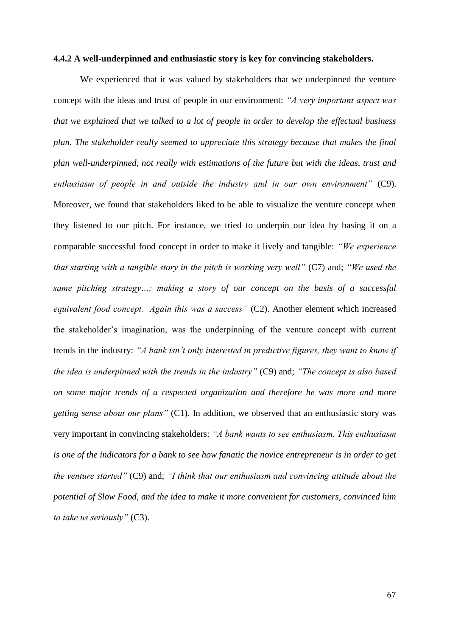#### **4.4.2 A well-underpinned and enthusiastic story is key for convincing stakeholders.**

We experienced that it was valued by stakeholders that we underpinned the venture concept with the ideas and trust of people in our environment: *"A very important aspect was that we explained that we talked to a lot of people in order to develop the effectual business plan. The stakeholder really seemed to appreciate this strategy because that makes the final plan well-underpinned, not really with estimations of the future but with the ideas, trust and enthusiasm of people in and outside the industry and in our own environment"* (C9). Moreover, we found that stakeholders liked to be able to visualize the venture concept when they listened to our pitch. For instance, we tried to underpin our idea by basing it on a comparable successful food concept in order to make it lively and tangible: *"We experience that starting with a tangible story in the pitch is working very well"* (C7) and; *"We used the same pitching strategy…; making a story of our concept on the basis of a successful equivalent food concept. Again this was a success"* (C2). Another element which increased the stakeholder's imagination, was the underpinning of the venture concept with current trends in the industry: *"A bank isn't only interested in predictive figures, they want to know if the idea is underpinned with the trends in the industry"* (C9) and; *"The concept is also based on some major trends of a respected organization and therefore he was more and more getting sense about our plans"* (C1). In addition, we observed that an enthusiastic story was very important in convincing stakeholders: *"A bank wants to see enthusiasm. This enthusiasm is one of the indicators for a bank to see how fanatic the novice entrepreneur is in order to get the venture started"* (C9) and; *"I think that our enthusiasm and convincing attitude about the potential of Slow Food, and the idea to make it more convenient for customers, convinced him to take us seriously"* (C3).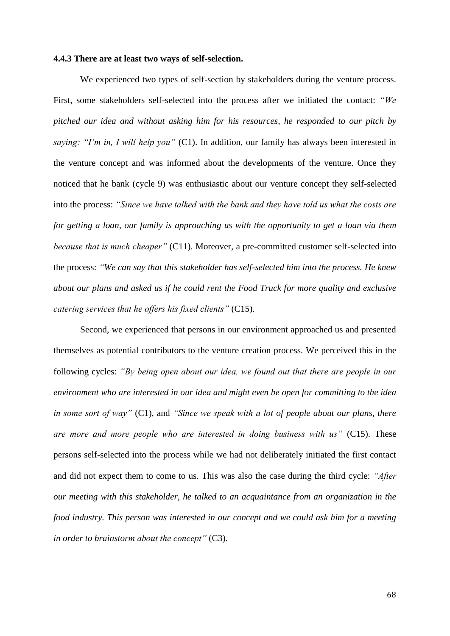#### **4.4.3 There are at least two ways of self-selection.**

We experienced two types of self-section by stakeholders during the venture process. First, some stakeholders self-selected into the process after we initiated the contact: *"We pitched our idea and without asking him for his resources, he responded to our pitch by saying: "I'm in, I will help you"* (C1). In addition, our family has always been interested in the venture concept and was informed about the developments of the venture. Once they noticed that he bank (cycle 9) was enthusiastic about our venture concept they self-selected into the process: *"Since we have talked with the bank and they have told us what the costs are for getting a loan, our family is approaching us with the opportunity to get a loan via them because that is much cheaper"* (C11). Moreover, a pre-committed customer self-selected into the process: *"We can say that this stakeholder has self-selected him into the process. He knew about our plans and asked us if he could rent the Food Truck for more quality and exclusive catering services that he offers his fixed clients"* (C15).

Second, we experienced that persons in our environment approached us and presented themselves as potential contributors to the venture creation process. We perceived this in the following cycles: *"By being open about our idea, we found out that there are people in our environment who are interested in our idea and might even be open for committing to the idea in some sort of way"* (C1), and *"Since we speak with a lot of people about our plans, there are more and more people who are interested in doing business with us"* (C15). These persons self-selected into the process while we had not deliberately initiated the first contact and did not expect them to come to us. This was also the case during the third cycle: *"After our meeting with this stakeholder, he talked to an acquaintance from an organization in the food industry. This person was interested in our concept and we could ask him for a meeting in order to brainstorm about the concept"* (C3).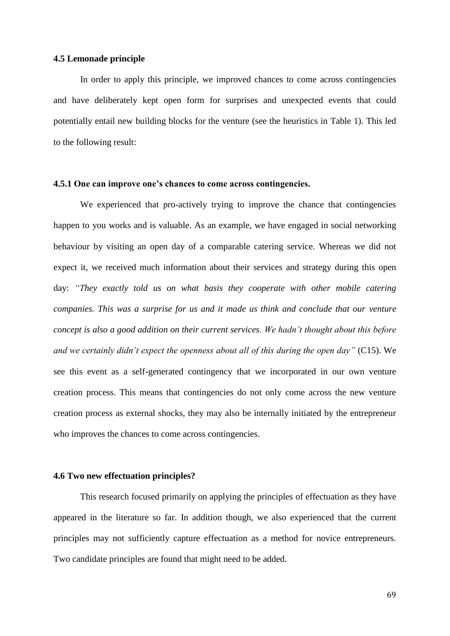#### **4.5 Lemonade principle**

In order to apply this principle, we improved chances to come across contingencies and have deliberately kept open form for surprises and unexpected events that could potentially entail new building blocks for the venture (see the heuristics in Table 1). This led to the following result:

### **4.5.1 One can improve one's chances to come across contingencies.**

We experienced that pro-actively trying to improve the chance that contingencies happen to you works and is valuable. As an example, we have engaged in social networking behaviour by visiting an open day of a comparable catering service. Whereas we did not expect it, we received much information about their services and strategy during this open day: *"They exactly told us on what basis they cooperate with other mobile catering companies. This was a surprise for us and it made us think and conclude that our venture concept is also a good addition on their current services. We hadn't thought about this before and we certainly didn't expect the openness about all of this during the open day"* (C15). We see this event as a self-generated contingency that we incorporated in our own venture creation process. This means that contingencies do not only come across the new venture creation process as external shocks, they may also be internally initiated by the entrepreneur who improves the chances to come across contingencies.

## **4.6 Two new effectuation principles?**

This research focused primarily on applying the principles of effectuation as they have appeared in the literature so far. In addition though, we also experienced that the current principles may not sufficiently capture effectuation as a method for novice entrepreneurs. Two candidate principles are found that might need to be added.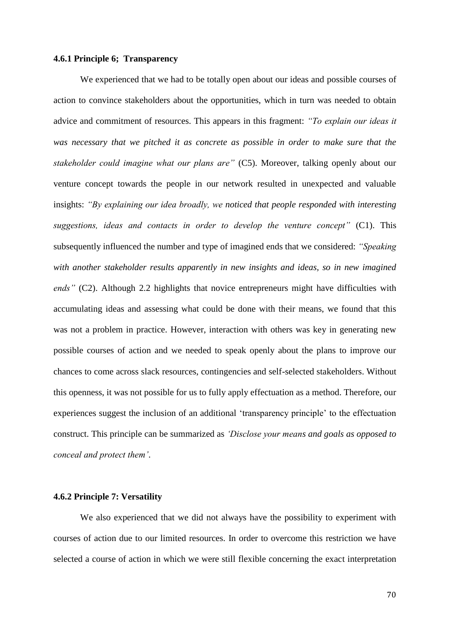## **4.6.1 Principle 6; Transparency**

We experienced that we had to be totally open about our ideas and possible courses of action to convince stakeholders about the opportunities, which in turn was needed to obtain advice and commitment of resources. This appears in this fragment: *"To explain our ideas it was necessary that we pitched it as concrete as possible in order to make sure that the stakeholder could imagine what our plans are"* (C5). Moreover, talking openly about our venture concept towards the people in our network resulted in unexpected and valuable insights: *"By explaining our idea broadly, we noticed that people responded with interesting suggestions, ideas and contacts in order to develop the venture concept"* (C1). This subsequently influenced the number and type of imagined ends that we considered: *"Speaking with another stakeholder results apparently in new insights and ideas, so in new imagined ends"* (C2). Although 2.2 highlights that novice entrepreneurs might have difficulties with accumulating ideas and assessing what could be done with their means, we found that this was not a problem in practice. However, interaction with others was key in generating new possible courses of action and we needed to speak openly about the plans to improve our chances to come across slack resources, contingencies and self-selected stakeholders. Without this openness, it was not possible for us to fully apply effectuation as a method. Therefore, our experiences suggest the inclusion of an additional 'transparency principle' to the effectuation construct. This principle can be summarized as *'Disclose your means and goals as opposed to conceal and protect them'*.

#### **4.6.2 Principle 7: Versatility**

We also experienced that we did not always have the possibility to experiment with courses of action due to our limited resources. In order to overcome this restriction we have selected a course of action in which we were still flexible concerning the exact interpretation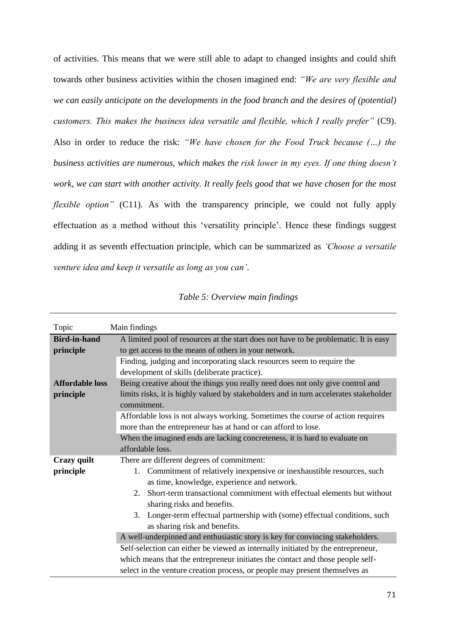of activities. This means that we were still able to adapt to changed insights and could shift towards other business activities within the chosen imagined end: *"We are very flexible and we can easily anticipate on the developments in the food branch and the desires of (potential) customers. This makes the business idea versatile and flexible, which I really prefer"* (C9). Also in order to reduce the risk: *"We have chosen for the Food Truck because (…) the business activities are numerous, which makes the risk lower in my eyes. If one thing doesn't work, we can start with another activity. It really feels good that we have chosen for the most flexible option*" (C11). As with the transparency principle, we could not fully apply effectuation as a method without this 'versatility principle'. Hence these findings suggest adding it as seventh effectuation principle, which can be summarized as *'Choose a versatile venture idea and keep it versatile as long as you can'*.

| Table 5: Overview main findings |  |  |
|---------------------------------|--|--|
|                                 |  |  |

| Topic                  | Main findings                                                                         |  |  |
|------------------------|---------------------------------------------------------------------------------------|--|--|
| <b>Bird-in-hand</b>    | A limited pool of resources at the start does not have to be problematic. It is easy  |  |  |
| principle              | to get access to the means of others in your network.                                 |  |  |
|                        | Finding, judging and incorporating slack resources seem to require the                |  |  |
|                        | development of skills (deliberate practice).                                          |  |  |
| <b>Affordable loss</b> | Being creative about the things you really need does not only give control and        |  |  |
| principle              | limits risks, it is highly valued by stakeholders and in turn accelerates stakeholder |  |  |
|                        | commitment.                                                                           |  |  |
|                        | Affordable loss is not always working. Sometimes the course of action requires        |  |  |
|                        | more than the entrepreneur has at hand or can afford to lose.                         |  |  |
|                        | When the imagined ends are lacking concreteness, it is hard to evaluate on            |  |  |
|                        | affordable loss.                                                                      |  |  |
| <b>Crazy</b> quilt     | There are different degrees of commitment:                                            |  |  |
| principle              | Commitment of relatively inexpensive or inexhaustible resources, such<br>1.           |  |  |
|                        | as time, knowledge, experience and network.                                           |  |  |
|                        | Short-term transactional commitment with effectual elements but without<br>2.         |  |  |
|                        | sharing risks and benefits.                                                           |  |  |
|                        | 3. Longer-term effectual partnership with (some) effectual conditions, such           |  |  |
|                        | as sharing risk and benefits.                                                         |  |  |
|                        | A well-underpinned and enthusiastic story is key for convincing stakeholders.         |  |  |
|                        | Self-selection can either be viewed as internally initiated by the entrepreneur,      |  |  |
|                        | which means that the entrepreneur initiates the contact and those people self-        |  |  |
|                        | select in the venture creation process, or people may present themselves as           |  |  |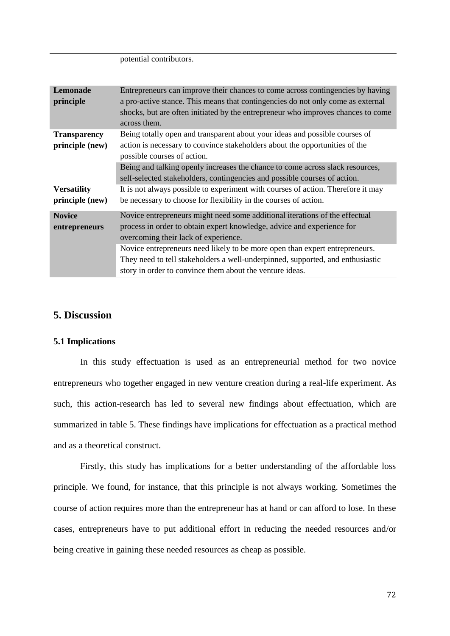potential contributors.

| <b>Lemonade</b><br>principle           | Entrepreneurs can improve their chances to come across contingencies by having<br>a pro-active stance. This means that contingencies do not only come as external<br>shocks, but are often initiated by the entrepreneur who improves chances to come<br>across them.                                                                                                                                                      |
|----------------------------------------|----------------------------------------------------------------------------------------------------------------------------------------------------------------------------------------------------------------------------------------------------------------------------------------------------------------------------------------------------------------------------------------------------------------------------|
| <b>Transparency</b><br>principle (new) | Being totally open and transparent about your ideas and possible courses of<br>action is necessary to convince stakeholders about the opportunities of the<br>possible courses of action.                                                                                                                                                                                                                                  |
| <b>Versatility</b><br>principle (new)  | Being and talking openly increases the chance to come across slack resources,<br>self-selected stakeholders, contingencies and possible courses of action.<br>It is not always possible to experiment with courses of action. Therefore it may<br>be necessary to choose for flexibility in the courses of action.                                                                                                         |
| <b>Novice</b><br>entrepreneurs         | Novice entrepreneurs might need some additional iterations of the effectual<br>process in order to obtain expert knowledge, advice and experience for<br>overcoming their lack of experience.<br>Novice entrepreneurs need likely to be more open than expert entrepreneurs.<br>They need to tell stakeholders a well-underpinned, supported, and enthusiastic<br>story in order to convince them about the venture ideas. |

# **5. Discussion**

#### **5.1 Implications**

In this study effectuation is used as an entrepreneurial method for two novice entrepreneurs who together engaged in new venture creation during a real-life experiment. As such, this action-research has led to several new findings about effectuation, which are summarized in table 5. These findings have implications for effectuation as a practical method and as a theoretical construct.

Firstly, this study has implications for a better understanding of the affordable loss principle. We found, for instance, that this principle is not always working. Sometimes the course of action requires more than the entrepreneur has at hand or can afford to lose. In these cases, entrepreneurs have to put additional effort in reducing the needed resources and/or being creative in gaining these needed resources as cheap as possible.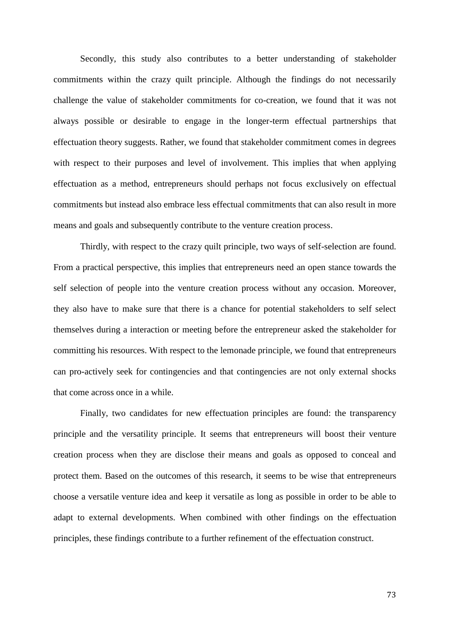Secondly, this study also contributes to a better understanding of stakeholder commitments within the crazy quilt principle. Although the findings do not necessarily challenge the value of stakeholder commitments for co-creation, we found that it was not always possible or desirable to engage in the longer-term effectual partnerships that effectuation theory suggests. Rather, we found that stakeholder commitment comes in degrees with respect to their purposes and level of involvement. This implies that when applying effectuation as a method, entrepreneurs should perhaps not focus exclusively on effectual commitments but instead also embrace less effectual commitments that can also result in more means and goals and subsequently contribute to the venture creation process.

Thirdly, with respect to the crazy quilt principle, two ways of self-selection are found. From a practical perspective, this implies that entrepreneurs need an open stance towards the self selection of people into the venture creation process without any occasion. Moreover, they also have to make sure that there is a chance for potential stakeholders to self select themselves during a interaction or meeting before the entrepreneur asked the stakeholder for committing his resources. With respect to the lemonade principle, we found that entrepreneurs can pro-actively seek for contingencies and that contingencies are not only external shocks that come across once in a while.

Finally, two candidates for new effectuation principles are found: the transparency principle and the versatility principle. It seems that entrepreneurs will boost their venture creation process when they are disclose their means and goals as opposed to conceal and protect them. Based on the outcomes of this research, it seems to be wise that entrepreneurs choose a versatile venture idea and keep it versatile as long as possible in order to be able to adapt to external developments. When combined with other findings on the effectuation principles, these findings contribute to a further refinement of the effectuation construct.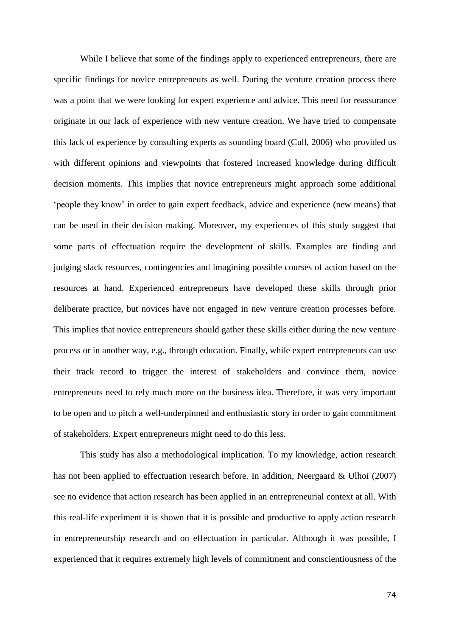While I believe that some of the findings apply to experienced entrepreneurs, there are specific findings for novice entrepreneurs as well. During the venture creation process there was a point that we were looking for expert experience and advice. This need for reassurance originate in our lack of experience with new venture creation. We have tried to compensate this lack of experience by consulting experts as sounding board (Cull, 2006) who provided us with different opinions and viewpoints that fostered increased knowledge during difficult decision moments. This implies that novice entrepreneurs might approach some additional 'people they know' in order to gain expert feedback, advice and experience (new means) that can be used in their decision making. Moreover, my experiences of this study suggest that some parts of effectuation require the development of skills. Examples are finding and judging slack resources, contingencies and imagining possible courses of action based on the resources at hand. Experienced entrepreneurs have developed these skills through prior deliberate practice, but novices have not engaged in new venture creation processes before. This implies that novice entrepreneurs should gather these skills either during the new venture process or in another way, e.g., through education. Finally, while expert entrepreneurs can use their track record to trigger the interest of stakeholders and convince them, novice entrepreneurs need to rely much more on the business idea. Therefore, it was very important to be open and to pitch a well-underpinned and enthusiastic story in order to gain commitment of stakeholders. Expert entrepreneurs might need to do this less.

This study has also a methodological implication. To my knowledge, action research has not been applied to effectuation research before. In addition, Neergaard & Ulhoi (2007) see no evidence that action research has been applied in an entrepreneurial context at all. With this real-life experiment it is shown that it is possible and productive to apply action research in entrepreneurship research and on effectuation in particular. Although it was possible, I experienced that it requires extremely high levels of commitment and conscientiousness of the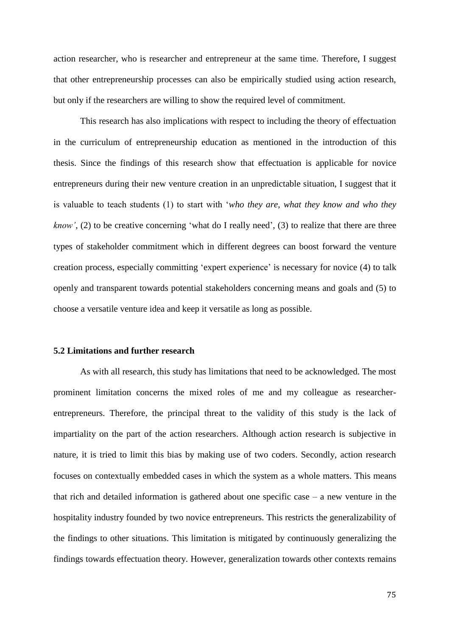action researcher, who is researcher and entrepreneur at the same time. Therefore, I suggest that other entrepreneurship processes can also be empirically studied using action research, but only if the researchers are willing to show the required level of commitment.

This research has also implications with respect to including the theory of effectuation in the curriculum of entrepreneurship education as mentioned in the introduction of this thesis. Since the findings of this research show that effectuation is applicable for novice entrepreneurs during their new venture creation in an unpredictable situation, I suggest that it is valuable to teach students (1) to start with '*who they are, what they know and who they know'*, (2) to be creative concerning 'what do I really need', (3) to realize that there are three types of stakeholder commitment which in different degrees can boost forward the venture creation process, especially committing 'expert experience' is necessary for novice (4) to talk openly and transparent towards potential stakeholders concerning means and goals and (5) to choose a versatile venture idea and keep it versatile as long as possible.

## **5.2 Limitations and further research**

As with all research, this study has limitations that need to be acknowledged. The most prominent limitation concerns the mixed roles of me and my colleague as researcherentrepreneurs. Therefore, the principal threat to the validity of this study is the lack of impartiality on the part of the action researchers. Although action research is subjective in nature, it is tried to limit this bias by making use of two coders. Secondly, action research focuses on contextually embedded cases in which the system as a whole matters. This means that rich and detailed information is gathered about one specific case  $-$  a new venture in the hospitality industry founded by two novice entrepreneurs. This restricts the generalizability of the findings to other situations. This limitation is mitigated by continuously generalizing the findings towards effectuation theory. However, generalization towards other contexts remains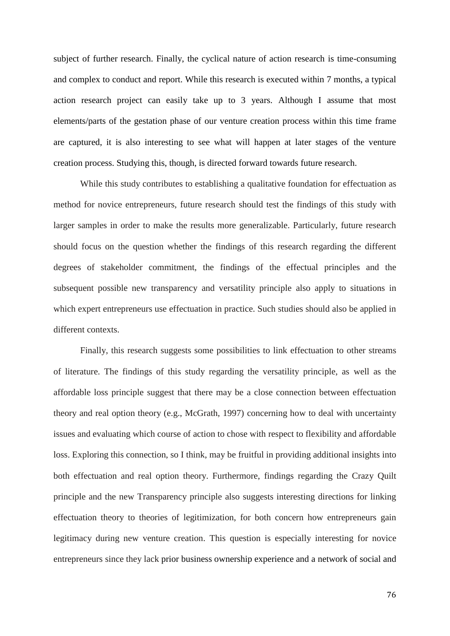subject of further research. Finally, the cyclical nature of action research is time-consuming and complex to conduct and report. While this research is executed within 7 months, a typical action research project can easily take up to 3 years. Although I assume that most elements/parts of the gestation phase of our venture creation process within this time frame are captured, it is also interesting to see what will happen at later stages of the venture creation process. Studying this, though, is directed forward towards future research.

While this study contributes to establishing a qualitative foundation for effectuation as method for novice entrepreneurs, future research should test the findings of this study with larger samples in order to make the results more generalizable. Particularly, future research should focus on the question whether the findings of this research regarding the different degrees of stakeholder commitment, the findings of the effectual principles and the subsequent possible new transparency and versatility principle also apply to situations in which expert entrepreneurs use effectuation in practice. Such studies should also be applied in different contexts.

Finally, this research suggests some possibilities to link effectuation to other streams of literature. The findings of this study regarding the versatility principle, as well as the affordable loss principle suggest that there may be a close connection between effectuation theory and real option theory (e.g., McGrath, 1997) concerning how to deal with uncertainty issues and evaluating which course of action to chose with respect to flexibility and affordable loss. Exploring this connection, so I think, may be fruitful in providing additional insights into both effectuation and real option theory. Furthermore, findings regarding the Crazy Quilt principle and the new Transparency principle also suggests interesting directions for linking effectuation theory to theories of legitimization, for both concern how entrepreneurs gain legitimacy during new venture creation. This question is especially interesting for novice entrepreneurs since they lack prior business ownership experience and a network of social and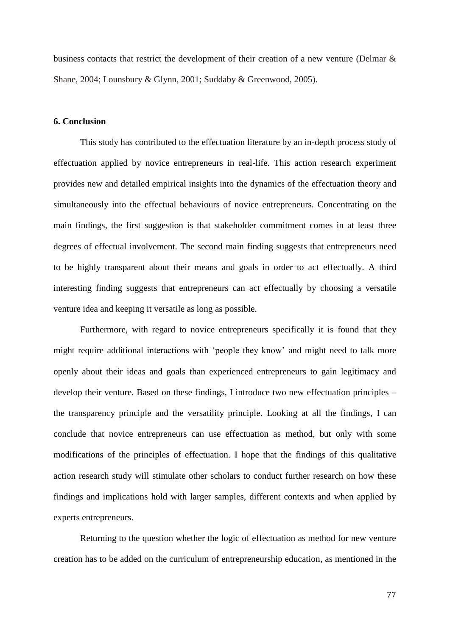business contacts that restrict the development of their creation of a new venture (Delmar & Shane, 2004; Lounsbury & Glynn, 2001; Suddaby & Greenwood, 2005).

## **6. Conclusion**

This study has contributed to the effectuation literature by an in-depth process study of effectuation applied by novice entrepreneurs in real-life. This action research experiment provides new and detailed empirical insights into the dynamics of the effectuation theory and simultaneously into the effectual behaviours of novice entrepreneurs. Concentrating on the main findings, the first suggestion is that stakeholder commitment comes in at least three degrees of effectual involvement. The second main finding suggests that entrepreneurs need to be highly transparent about their means and goals in order to act effectually. A third interesting finding suggests that entrepreneurs can act effectually by choosing a versatile venture idea and keeping it versatile as long as possible.

Furthermore, with regard to novice entrepreneurs specifically it is found that they might require additional interactions with 'people they know' and might need to talk more openly about their ideas and goals than experienced entrepreneurs to gain legitimacy and develop their venture. Based on these findings, I introduce two new effectuation principles – the transparency principle and the versatility principle. Looking at all the findings, I can conclude that novice entrepreneurs can use effectuation as method, but only with some modifications of the principles of effectuation. I hope that the findings of this qualitative action research study will stimulate other scholars to conduct further research on how these findings and implications hold with larger samples, different contexts and when applied by experts entrepreneurs.

Returning to the question whether the logic of effectuation as method for new venture creation has to be added on the curriculum of entrepreneurship education, as mentioned in the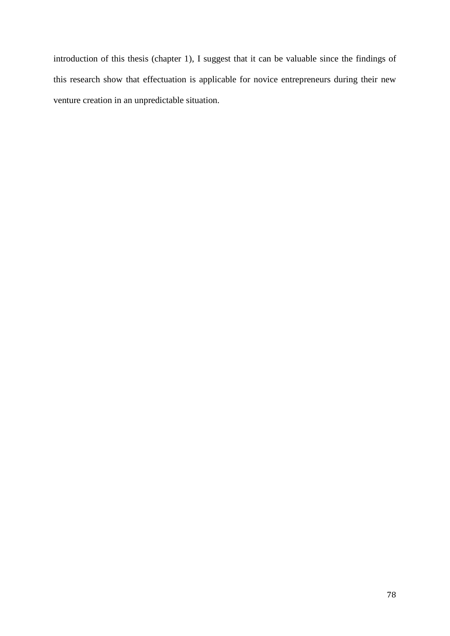introduction of this thesis (chapter 1), I suggest that it can be valuable since the findings of this research show that effectuation is applicable for novice entrepreneurs during their new venture creation in an unpredictable situation.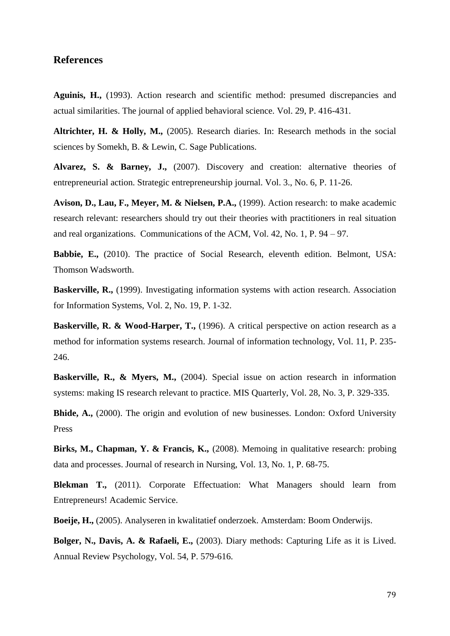## **References**

**Aguinis, H.,** (1993). Action research and scientific method: presumed discrepancies and actual similarities. The journal of applied behavioral science. Vol. 29, P. 416-431.

**Altrichter, H. & Holly, M.,** (2005). Research diaries. In: Research methods in the social sciences by Somekh, B. & Lewin, C. Sage Publications.

**Alvarez, S. & Barney, J.,** (2007). Discovery and creation: alternative theories of entrepreneurial action. Strategic entrepreneurship journal. Vol. 3., No. 6, P. 11-26.

**Avison, D., Lau, F., Meyer, M. & Nielsen, P.A.,** (1999). Action research: to make academic research relevant: researchers should try out their theories with practitioners in real situation and real organizations. Communications of the ACM, Vol. 42, No. 1, P. 94 – 97.

**Babbie, E.,** (2010). The practice of Social Research, eleventh edition. Belmont, USA: Thomson Wadsworth.

**Baskerville, R.,** (1999). Investigating information systems with action research. Association for Information Systems, Vol. 2, No. 19, P. 1-32.

**Baskerville, R. & Wood-Harper, T.,** (1996). A critical perspective on action research as a method for information systems research. Journal of information technology, Vol. 11, P. 235- 246.

**Baskerville, R., & Myers, M.,** (2004). Special issue on action research in information systems: making IS research relevant to practice. MIS Quarterly, Vol. 28, No. 3, P. 329-335.

**Bhide, A.,** (2000). The origin and evolution of new businesses. London: Oxford University Press

**Birks, M., Chapman, Y. & Francis, K.,** (2008). Memoing in qualitative research: probing data and processes. Journal of research in Nursing, Vol. 13, No. 1, P. 68-75.

**Blekman T.,** (2011). Corporate Effectuation: What Managers should learn from Entrepreneurs! Academic Service.

**Boeije, H.,** (2005). Analyseren in kwalitatief onderzoek. Amsterdam: Boom Onderwijs.

**Bolger, N., Davis, A. & Rafaeli, E.,** (2003). Diary methods: Capturing Life as it is Lived. Annual Review Psychology, Vol. 54, P. 579-616.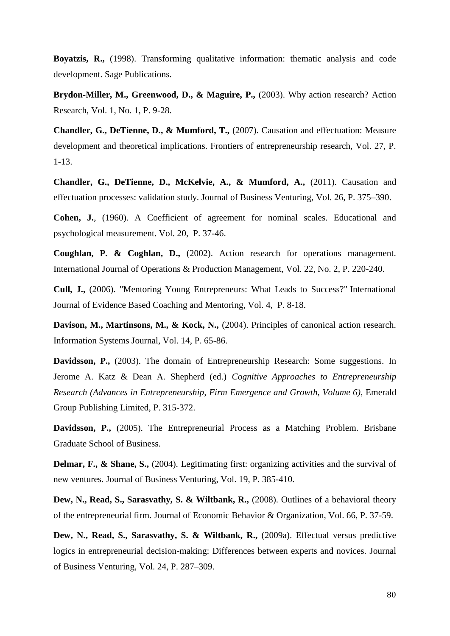**Boyatzis, R.,** (1998). Transforming qualitative information: thematic analysis and code development. Sage Publications.

**Brydon-Miller, M., Greenwood, D., & Maguire, P.,** (2003). Why action research? Action Research, Vol. 1, No. 1, P. 9-28.

**Chandler, G., DeTienne, D., & Mumford, T.,** (2007). Causation and effectuation: Measure development and theoretical implications. Frontiers of entrepreneurship research, Vol. 27, P. 1-13.

**Chandler, G., DeTienne, D., McKelvie, A., & Mumford, A.,** (2011). Causation and effectuation processes: validation study. Journal of Business Venturing, Vol. 26, P. 375–390.

**Cohen, J.**, (1960). A Coefficient of agreement for nominal scales. Educational and psychological measurement. Vol. 20, P. 37-46.

**Coughlan, P. & Coghlan, D.,** (2002). Action research for operations management. International Journal of Operations & Production Management, Vol. 22, No. 2, P. 220-240.

**Cull, J.,** (2006). "Mentoring Young Entrepreneurs: What Leads to Success?" International Journal of Evidence Based Coaching and Mentoring, Vol. 4, P. 8-18.

**Davison, M., Martinsons, M., & Kock, N.,** (2004). Principles of canonical action research. Information Systems Journal, Vol. 14, P. 65-86.

**Davidsson, P.,** (2003). The domain of Entrepreneurship Research: Some suggestions. In Jerome A. Katz & Dean A. Shepherd (ed.) *Cognitive Approaches to Entrepreneurship Research (Advances in Entrepreneurship, Firm Emergence and Growth, Volume 6)*, Emerald Group Publishing Limited, P. 315-372.

**Davidsson, P.,** (2005). The Entrepreneurial Process as a Matching Problem. Brisbane Graduate School of Business.

**Delmar, F., & Shane, S.,** (2004). Legitimating first: organizing activities and the survival of new ventures. Journal of Business Venturing, Vol. 19, P. 385-410.

**Dew, N., Read, S., Sarasvathy, S. & Wiltbank, R.,** (2008). Outlines of a behavioral theory of the entrepreneurial firm. Journal of Economic Behavior & Organization, Vol. 66, P. 37-59.

**Dew, N., Read, S., Sarasvathy, S. & Wiltbank, R.,** (2009a). Effectual versus predictive logics in entrepreneurial decision-making: Differences between experts and novices. Journal of Business Venturing, Vol. 24, P. 287–309.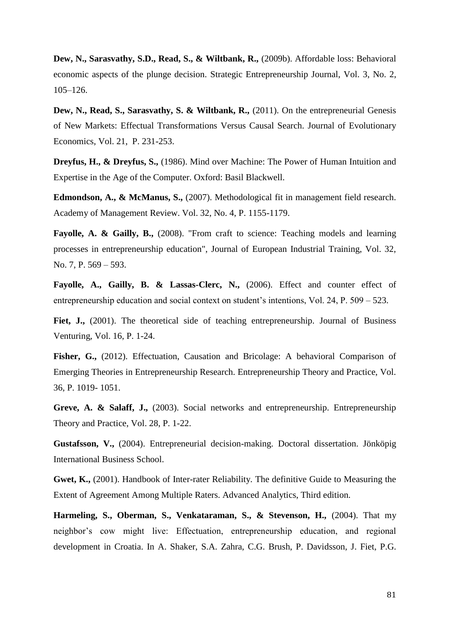**Dew, N., Sarasvathy, S.D., Read, S., & Wiltbank, R.,** (2009b). Affordable loss: Behavioral economic aspects of the plunge decision. Strategic Entrepreneurship Journal, Vol. 3, No. 2, 105–126.

**Dew, N., Read, S., Sarasvathy, S. & Wiltbank, R.,** (2011). On the entrepreneurial Genesis of New Markets: Effectual Transformations Versus Causal Search. Journal of Evolutionary Economics, Vol. 21, P. 231-253.

**Dreyfus, H., & Dreyfus, S.,** (1986). Mind over Machine: The Power of Human Intuition and Expertise in the Age of the Computer. Oxford: Basil Blackwell.

**Edmondson, A., & McManus, S.,** (2007). Methodological fit in management field research. Academy of Management Review. Vol. 32, No. 4, P. 1155-1179.

**Fayolle, A. & Gailly, B.,** (2008). "From craft to science: Teaching models and learning processes in entrepreneurship education", Journal of European Industrial Training, Vol. 32, No. 7, P. 569 – 593.

**Fayolle, A., Gailly, B. & Lassas-Clerc, N.,** (2006). Effect and counter effect of entrepreneurship education and social context on student's intentions, Vol. 24, P. 509 – 523.

Fiet, J., (2001). The theoretical side of teaching entrepreneurship. Journal of Business Venturing, Vol. 16, P. 1-24.

Fisher, G., (2012). Effectuation, Causation and Bricolage: A behavioral Comparison of Emerging Theories in Entrepreneurship Research. Entrepreneurship Theory and Practice, Vol. 36, P. 1019- 1051.

**Greve, A. & Salaff, J.,** (2003). Social networks and entrepreneurship. Entrepreneurship Theory and Practice, Vol. 28, P. 1-22.

**Gustafsson, V.,** (2004). Entrepreneurial decision-making. Doctoral dissertation. Jönköpig International Business School.

**Gwet, K.,** (2001). Handbook of Inter-rater Reliability. The definitive Guide to Measuring the Extent of Agreement Among Multiple Raters. Advanced Analytics, Third edition.

**Harmeling, S., Oberman, S., Venkataraman, S., & Stevenson, H.,** (2004). That my neighbor's cow might live: Effectuation, entrepreneurship education, and regional development in Croatia. In A. Shaker, S.A. Zahra, C.G. Brush, P. Davidsson, J. Fiet, P.G.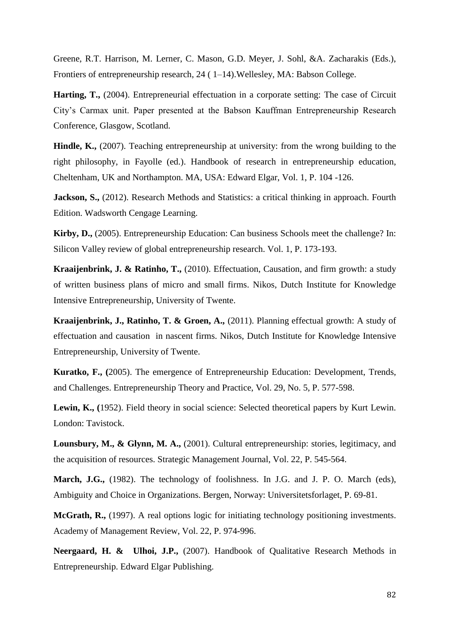Greene, R.T. Harrison, M. Lerner, C. Mason, G.D. Meyer, J. Sohl, &A. Zacharakis (Eds.), Frontiers of entrepreneurship research, 24 ( 1–14).Wellesley, MA: Babson College.

**Harting, T.,** (2004). Entrepreneurial effectuation in a corporate setting: The case of Circuit City's Carmax unit. Paper presented at the Babson Kauffman Entrepreneurship Research Conference, Glasgow, Scotland.

**Hindle, K.,** (2007). Teaching entrepreneurship at university: from the wrong building to the right philosophy, in Fayolle (ed.). Handbook of research in entrepreneurship education, Cheltenham, UK and Northampton. MA, USA: Edward Elgar, Vol. 1, P. 104 -126.

**Jackson, S.,** (2012). Research Methods and Statistics: a critical thinking in approach. Fourth Edition. Wadsworth Cengage Learning.

**Kirby, D.,** (2005). Entrepreneurship Education: Can business Schools meet the challenge? In: Silicon Valley review of global entrepreneurship research. Vol. 1, P. 173-193.

**Kraaijenbrink, J. & Ratinho, T.,** (2010). Effectuation, Causation, and firm growth: a study of written business plans of micro and small firms. Nikos, Dutch Institute for Knowledge Intensive Entrepreneurship, University of Twente.

**Kraaijenbrink, J., Ratinho, T. & Groen, A.,** (2011). Planning effectual growth: A study of effectuation and causation in nascent firms. Nikos, Dutch Institute for Knowledge Intensive Entrepreneurship, University of Twente.

**Kuratko, F., (**2005). The emergence of Entrepreneurship Education: Development, Trends, and Challenges. Entrepreneurship Theory and Practice, Vol. 29, No. 5, P. 577-598.

**Lewin, K., (**1952). Field theory in social science: Selected theoretical papers by Kurt Lewin. London: Tavistock.

**Lounsbury, M., & Glynn, M. A.,** (2001). Cultural entrepreneurship: stories, legitimacy, and the acquisition of resources. Strategic Management Journal, Vol. 22, P. 545-564.

**March, J.G.,** (1982). The technology of foolishness. In J.G. and J. P. O. March (eds), Ambiguity and Choice in Organizations. Bergen, Norway: Universitetsforlaget, P. 69-81.

**McGrath, R.,** (1997). A real options logic for initiating technology positioning investments. Academy of Management Review, Vol. 22, P. 974-996.

**Neergaard, H. & Ulhoi, J.P.,** (2007). Handbook of Qualitative Research Methods in Entrepreneurship. Edward Elgar Publishing.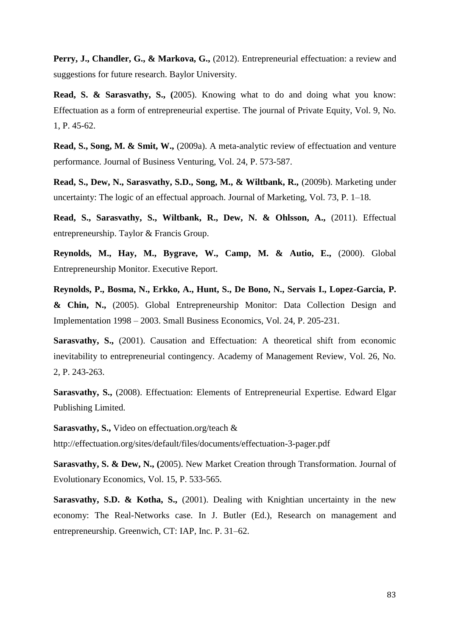Perry, J., Chandler, G., & Markova, G., (2012). Entrepreneurial effectuation: a review and suggestions for future research. Baylor University.

**Read, S. & Sarasvathy, S., (**2005). Knowing what to do and doing what you know: Effectuation as a form of entrepreneurial expertise. The journal of Private Equity, Vol. 9, No. 1, P. 45-62.

**Read, S., Song, M. & Smit, W.,** (2009a). A meta-analytic review of effectuation and venture performance. Journal of Business Venturing, Vol. 24, P. 573-587.

**Read, S., Dew, N., Sarasvathy, S.D., Song, M., & Wiltbank, R.,** (2009b). Marketing under uncertainty: The logic of an effectual approach. Journal of Marketing, Vol. 73, P. 1–18.

**Read, S., Sarasvathy, S., Wiltbank, R., Dew, N. & Ohlsson, A.,** (2011). Effectual entrepreneurship. Taylor & Francis Group.

**Reynolds, M., Hay, M., Bygrave, W., Camp, M. & Autio, E.,** (2000). Global Entrepreneurship Monitor. Executive Report.

**Reynolds, P., Bosma, N., Erkko, A., Hunt, S., De Bono, N., Servais I., Lopez-Garcia, P. & Chin, N.,** (2005). Global Entrepreneurship Monitor: Data Collection Design and Implementation 1998 – 2003. Small Business Economics, Vol. 24, P. 205-231.

**Sarasvathy, S.,** (2001). Causation and Effectuation: A theoretical shift from economic inevitability to entrepreneurial contingency. Academy of Management Review, Vol. 26, No. 2, P. 243-263.

**Sarasvathy, S.,** (2008). Effectuation: Elements of Entrepreneurial Expertise. Edward Elgar Publishing Limited.

**Sarasvathy, S.,** Video on effectuation.org/teach &

http://effectuation.org/sites/default/files/documents/effectuation-3-pager.pdf

**Sarasvathy, S. & Dew, N., (**2005). New Market Creation through Transformation. Journal of Evolutionary Economics, Vol. 15, P. 533-565.

**Sarasvathy, S.D. & Kotha, S.,** (2001). Dealing with Knightian uncertainty in the new economy: The Real-Networks case. In J. Butler (Ed.), Research on management and entrepreneurship. Greenwich, CT: IAP, Inc. P. 31–62.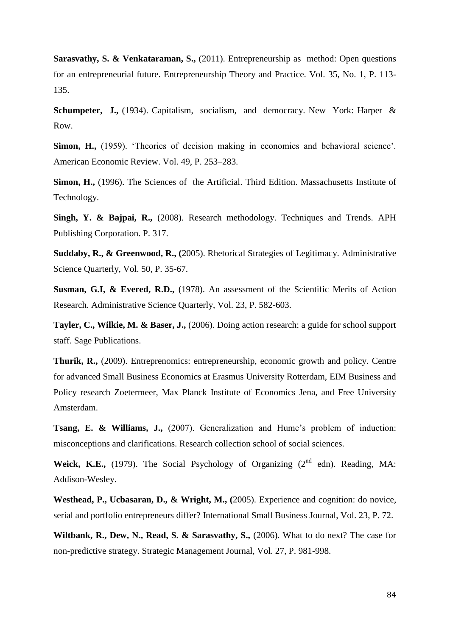**Sarasvathy, S. & Venkataraman, S.,** (2011). Entrepreneurship as method: Open questions for an entrepreneurial future. Entrepreneurship Theory and Practice. Vol. 35, No. 1, P. 113- 135.

**Schumpeter, J.,** (1934). Capitalism, socialism, and democracy. New York: Harper & Row.

**Simon, H.,** (1959). 'Theories of decision making in economics and behavioral science'. American Economic Review. Vol. 49, P. 253–283.

**Simon, H.,** (1996). The Sciences of the Artificial. Third Edition. Massachusetts Institute of Technology.

**Singh, Y. & Bajpai, R.,** (2008). Research methodology. Techniques and Trends. APH Publishing Corporation. P. 317.

**Suddaby, R., & Greenwood, R., (**2005). Rhetorical Strategies of Legitimacy. Administrative Science Quarterly, Vol. 50, P. 35-67.

**Susman, G.I, & Evered, R.D.,** (1978). An assessment of the Scientific Merits of Action Research. Administrative Science Quarterly, Vol. 23, P. 582-603.

**Tayler, C., Wilkie, M. & Baser, J.,** (2006). Doing action research: a guide for school support staff. Sage Publications.

**Thurik, R.,** (2009). Entreprenomics: entrepreneurship, economic growth and policy. Centre for advanced Small Business Economics at Erasmus University Rotterdam, EIM Business and Policy research Zoetermeer, Max Planck Institute of Economics Jena, and Free University Amsterdam.

**Tsang, E. & Williams, J.,** (2007). Generalization and Hume's problem of induction: misconceptions and clarifications. Research collection school of social sciences.

**Weick, K.E.,** (1979). The Social Psychology of Organizing ( $2<sup>nd</sup>$  edn). Reading, MA: Addison-Wesley.

**Westhead, P., Ucbasaran, D., & Wright, M., (**2005). Experience and cognition: do novice, serial and portfolio entrepreneurs differ? International Small Business Journal, Vol. 23, P. 72.

**Wiltbank, R., Dew, N., Read, S. & Sarasvathy, S.,** (2006). What to do next? The case for non-predictive strategy. Strategic Management Journal, Vol. 27, P. 981-998.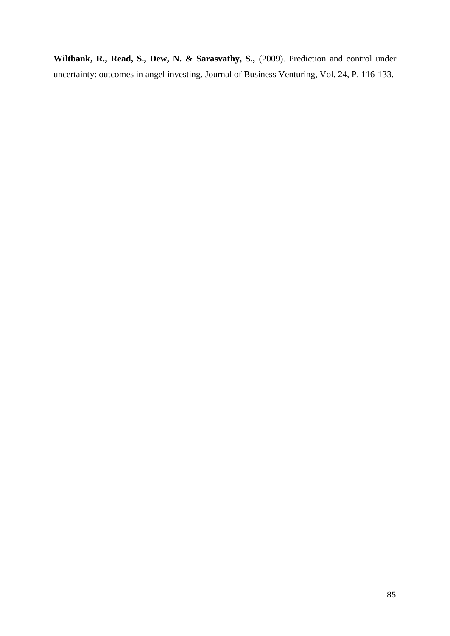**Wiltbank, R., Read, S., Dew, N. & Sarasvathy, S.,** (2009). Prediction and control under uncertainty: outcomes in angel investing. Journal of Business Venturing, Vol. 24, P. 116-133.